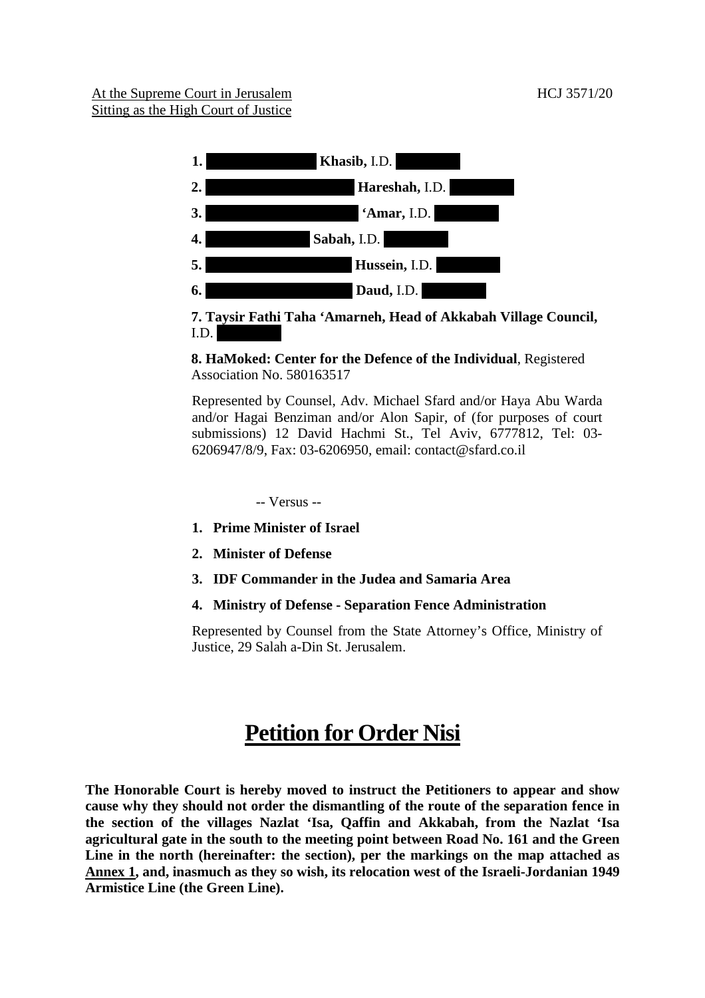

## $I.D.$ **8. HaMoked: Center for the Defence of the Individual**, Registered

Association No. 580163517

Represented by Counsel, Adv. Michael Sfard and/or Haya Abu Warda and/or Hagai Benziman and/or Alon Sapir, of (for purposes of court submissions) 12 David Hachmi St., Tel Aviv, 6777812, Tel: 03- 6206947/8/9, Fax: 03-6206950, email: contact@sfard.co.il

-- Versus --

- **1. Prime Minister of Israel**
- **2. Minister of Defense**
- **3. IDF Commander in the Judea and Samaria Area**
- **4. Ministry of Defense - Separation Fence Administration**

Represented by Counsel from the State Attorney's Office, Ministry of Justice, 29 Salah a-Din St. Jerusalem.

# **Petition for Order Nisi**

**The Honorable Court is hereby moved to instruct the Petitioners to appear and show cause why they should not order the dismantling of the route of the separation fence in the section of the villages Nazlat 'Isa, Qaffin and Akkabah, from the Nazlat 'Isa agricultural gate in the south to the meeting point between Road No. 161 and the Green Line in the north (hereinafter: the section), per the markings on the map attached as Annex 1, and, inasmuch as they so wish, its relocation west of the Israeli-Jordanian 1949 Armistice Line (the Green Line).**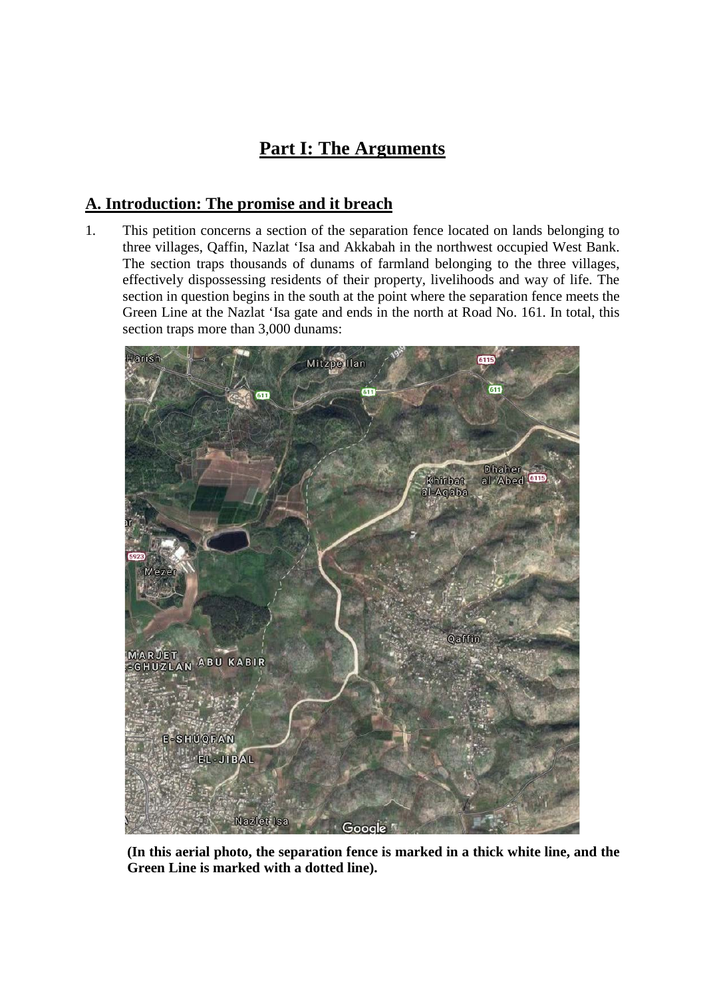## **Part I: The Arguments**

## **A. Introduction: The promise and it breach**

1. This petition concerns a section of the separation fence located on lands belonging to three villages, Qaffin, Nazlat 'Isa and Akkabah in the northwest occupied West Bank. The section traps thousands of dunams of farmland belonging to the three villages, effectively dispossessing residents of their property, livelihoods and way of life. The section in question begins in the south at the point where the separation fence meets the Green Line at the Nazlat 'Isa gate and ends in the north at Road No. 161. In total, this section traps more than 3,000 dunams:



**(In this aerial photo, the separation fence is marked in a thick white line, and the Green Line is marked with a dotted line).**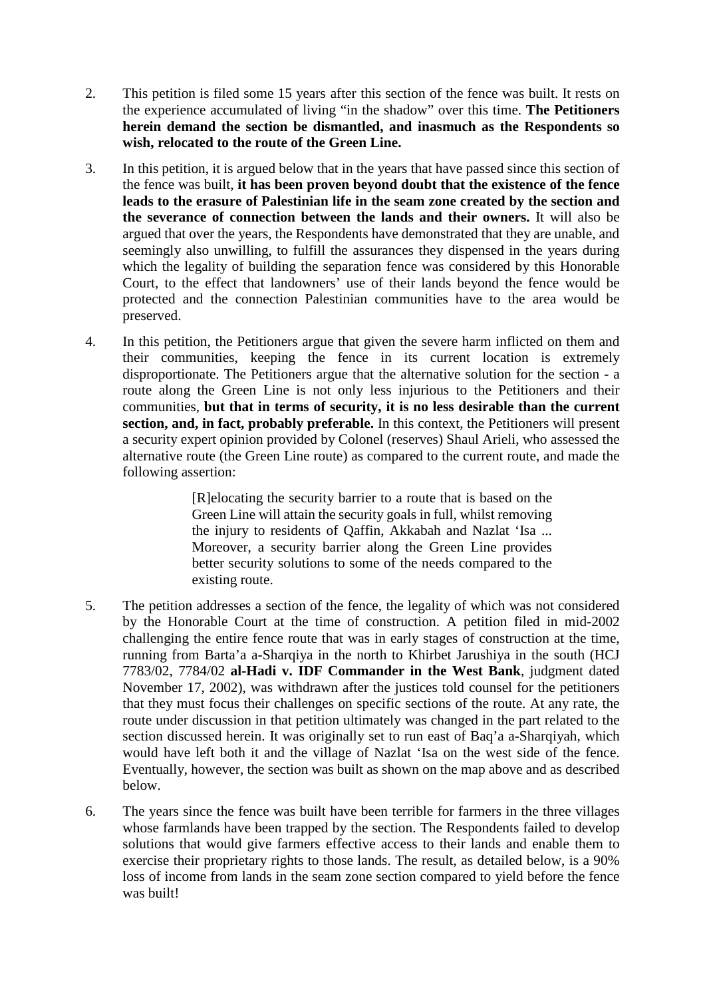- 2. This petition is filed some 15 years after this section of the fence was built. It rests on the experience accumulated of living "in the shadow" over this time. **The Petitioners herein demand the section be dismantled, and inasmuch as the Respondents so wish, relocated to the route of the Green Line.**
- 3. In this petition, it is argued below that in the years that have passed since this section of the fence was built, **it has been proven beyond doubt that the existence of the fence leads to the erasure of Palestinian life in the seam zone created by the section and the severance of connection between the lands and their owners.** It will also be argued that over the years, the Respondents have demonstrated that they are unable, and seemingly also unwilling, to fulfill the assurances they dispensed in the years during which the legality of building the separation fence was considered by this Honorable Court, to the effect that landowners' use of their lands beyond the fence would be protected and the connection Palestinian communities have to the area would be preserved.
- 4. In this petition, the Petitioners argue that given the severe harm inflicted on them and their communities, keeping the fence in its current location is extremely disproportionate. The Petitioners argue that the alternative solution for the section - a route along the Green Line is not only less injurious to the Petitioners and their communities, **but that in terms of security, it is no less desirable than the current section, and, in fact, probably preferable.** In this context, the Petitioners will present a security expert opinion provided by Colonel (reserves) Shaul Arieli, who assessed the alternative route (the Green Line route) as compared to the current route, and made the following assertion:

[R]elocating the security barrier to a route that is based on the Green Line will attain the security goals in full, whilst removing the injury to residents of Qaffin, Akkabah and Nazlat 'Isa ... Moreover, a security barrier along the Green Line provides better security solutions to some of the needs compared to the existing route.

- 5. The petition addresses a section of the fence, the legality of which was not considered by the Honorable Court at the time of construction. A petition filed in mid-2002 challenging the entire fence route that was in early stages of construction at the time, running from Barta'a a-Sharqiya in the north to Khirbet Jarushiya in the south (HCJ 7783/02, 7784/02 **al-Hadi v. IDF Commander in the West Bank**, judgment dated November 17, 2002), was withdrawn after the justices told counsel for the petitioners that they must focus their challenges on specific sections of the route. At any rate, the route under discussion in that petition ultimately was changed in the part related to the section discussed herein. It was originally set to run east of Baq'a a-Sharqiyah, which would have left both it and the village of Nazlat 'Isa on the west side of the fence. Eventually, however, the section was built as shown on the map above and as described below.
- 6. The years since the fence was built have been terrible for farmers in the three villages whose farmlands have been trapped by the section. The Respondents failed to develop solutions that would give farmers effective access to their lands and enable them to exercise their proprietary rights to those lands. The result, as detailed below, is a 90% loss of income from lands in the seam zone section compared to yield before the fence was built!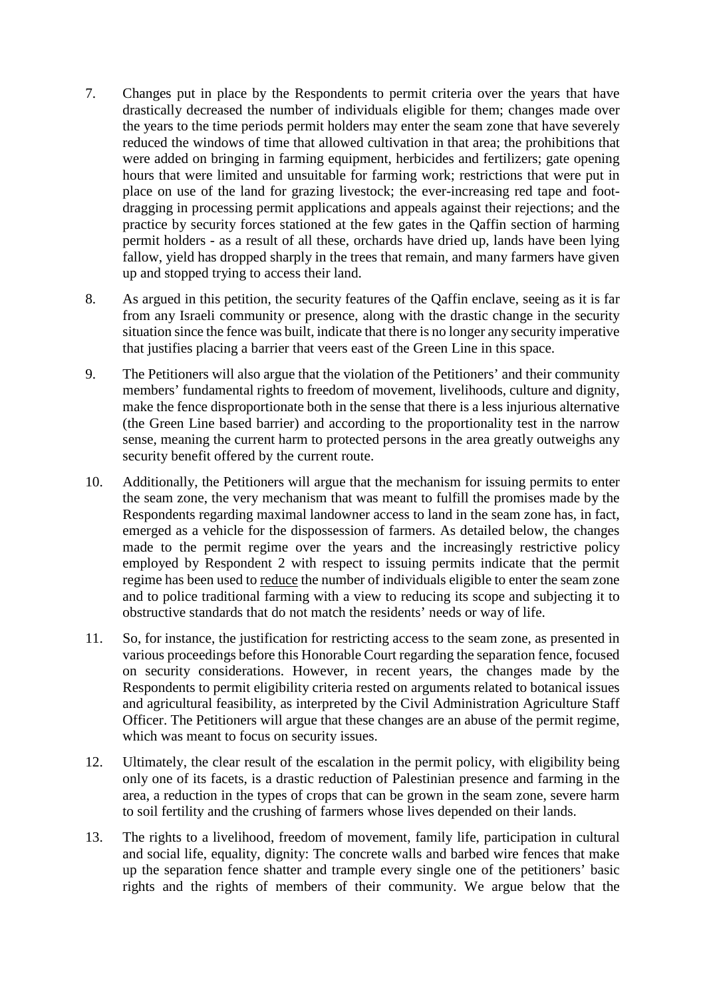- 7. Changes put in place by the Respondents to permit criteria over the years that have drastically decreased the number of individuals eligible for them; changes made over the years to the time periods permit holders may enter the seam zone that have severely reduced the windows of time that allowed cultivation in that area; the prohibitions that were added on bringing in farming equipment, herbicides and fertilizers; gate opening hours that were limited and unsuitable for farming work; restrictions that were put in place on use of the land for grazing livestock; the ever-increasing red tape and footdragging in processing permit applications and appeals against their rejections; and the practice by security forces stationed at the few gates in the Qaffin section of harming permit holders - as a result of all these, orchards have dried up, lands have been lying fallow, yield has dropped sharply in the trees that remain, and many farmers have given up and stopped trying to access their land.
- 8. As argued in this petition, the security features of the Qaffin enclave, seeing as it is far from any Israeli community or presence, along with the drastic change in the security situation since the fence was built, indicate that there is no longer any security imperative that justifies placing a barrier that veers east of the Green Line in this space.
- 9. The Petitioners will also argue that the violation of the Petitioners' and their community members' fundamental rights to freedom of movement, livelihoods, culture and dignity, make the fence disproportionate both in the sense that there is a less injurious alternative (the Green Line based barrier) and according to the proportionality test in the narrow sense, meaning the current harm to protected persons in the area greatly outweighs any security benefit offered by the current route.
- 10. Additionally, the Petitioners will argue that the mechanism for issuing permits to enter the seam zone, the very mechanism that was meant to fulfill the promises made by the Respondents regarding maximal landowner access to land in the seam zone has, in fact, emerged as a vehicle for the dispossession of farmers. As detailed below, the changes made to the permit regime over the years and the increasingly restrictive policy employed by Respondent 2 with respect to issuing permits indicate that the permit regime has been used to reduce the number of individuals eligible to enter the seam zone and to police traditional farming with a view to reducing its scope and subjecting it to obstructive standards that do not match the residents' needs or way of life.
- 11. So, for instance, the justification for restricting access to the seam zone, as presented in various proceedings before this Honorable Court regarding the separation fence, focused on security considerations. However, in recent years, the changes made by the Respondents to permit eligibility criteria rested on arguments related to botanical issues and agricultural feasibility, as interpreted by the Civil Administration Agriculture Staff Officer. The Petitioners will argue that these changes are an abuse of the permit regime, which was meant to focus on security issues.
- 12. Ultimately, the clear result of the escalation in the permit policy, with eligibility being only one of its facets, is a drastic reduction of Palestinian presence and farming in the area, a reduction in the types of crops that can be grown in the seam zone, severe harm to soil fertility and the crushing of farmers whose lives depended on their lands.
- 13. The rights to a livelihood, freedom of movement, family life, participation in cultural and social life, equality, dignity: The concrete walls and barbed wire fences that make up the separation fence shatter and trample every single one of the petitioners' basic rights and the rights of members of their community. We argue below that the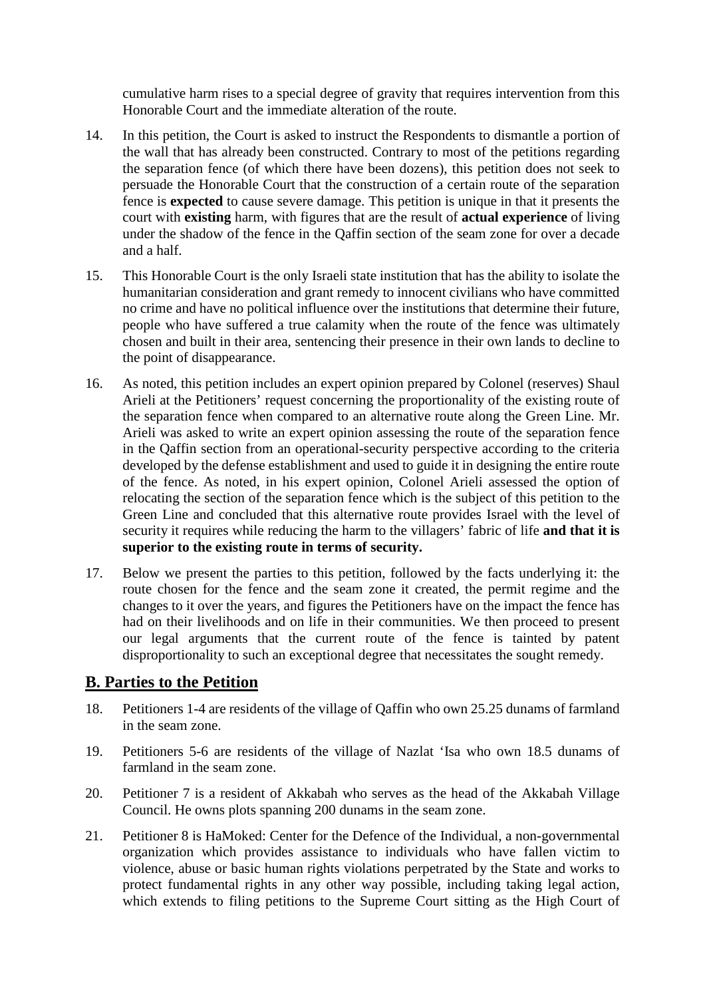cumulative harm rises to a special degree of gravity that requires intervention from this Honorable Court and the immediate alteration of the route.

- 14. In this petition, the Court is asked to instruct the Respondents to dismantle a portion of the wall that has already been constructed. Contrary to most of the petitions regarding the separation fence (of which there have been dozens), this petition does not seek to persuade the Honorable Court that the construction of a certain route of the separation fence is **expected** to cause severe damage. This petition is unique in that it presents the court with **existing** harm, with figures that are the result of **actual experience** of living under the shadow of the fence in the Qaffin section of the seam zone for over a decade and a half.
- 15. This Honorable Court is the only Israeli state institution that has the ability to isolate the humanitarian consideration and grant remedy to innocent civilians who have committed no crime and have no political influence over the institutions that determine their future, people who have suffered a true calamity when the route of the fence was ultimately chosen and built in their area, sentencing their presence in their own lands to decline to the point of disappearance.
- 16. As noted, this petition includes an expert opinion prepared by Colonel (reserves) Shaul Arieli at the Petitioners' request concerning the proportionality of the existing route of the separation fence when compared to an alternative route along the Green Line. Mr. Arieli was asked to write an expert opinion assessing the route of the separation fence in the Qaffin section from an operational-security perspective according to the criteria developed by the defense establishment and used to guide it in designing the entire route of the fence. As noted, in his expert opinion, Colonel Arieli assessed the option of relocating the section of the separation fence which is the subject of this petition to the Green Line and concluded that this alternative route provides Israel with the level of security it requires while reducing the harm to the villagers' fabric of life **and that it is superior to the existing route in terms of security.**
- 17. Below we present the parties to this petition, followed by the facts underlying it: the route chosen for the fence and the seam zone it created, the permit regime and the changes to it over the years, and figures the Petitioners have on the impact the fence has had on their livelihoods and on life in their communities. We then proceed to present our legal arguments that the current route of the fence is tainted by patent disproportionality to such an exceptional degree that necessitates the sought remedy.

## **B. Parties to the Petition**

- 18. Petitioners 1-4 are residents of the village of Qaffin who own 25.25 dunams of farmland in the seam zone.
- 19. Petitioners 5-6 are residents of the village of Nazlat 'Isa who own 18.5 dunams of farmland in the seam zone.
- 20. Petitioner 7 is a resident of Akkabah who serves as the head of the Akkabah Village Council. He owns plots spanning 200 dunams in the seam zone.
- 21. Petitioner 8 is HaMoked: Center for the Defence of the Individual, a non-governmental organization which provides assistance to individuals who have fallen victim to violence, abuse or basic human rights violations perpetrated by the State and works to protect fundamental rights in any other way possible, including taking legal action, which extends to filing petitions to the Supreme Court sitting as the High Court of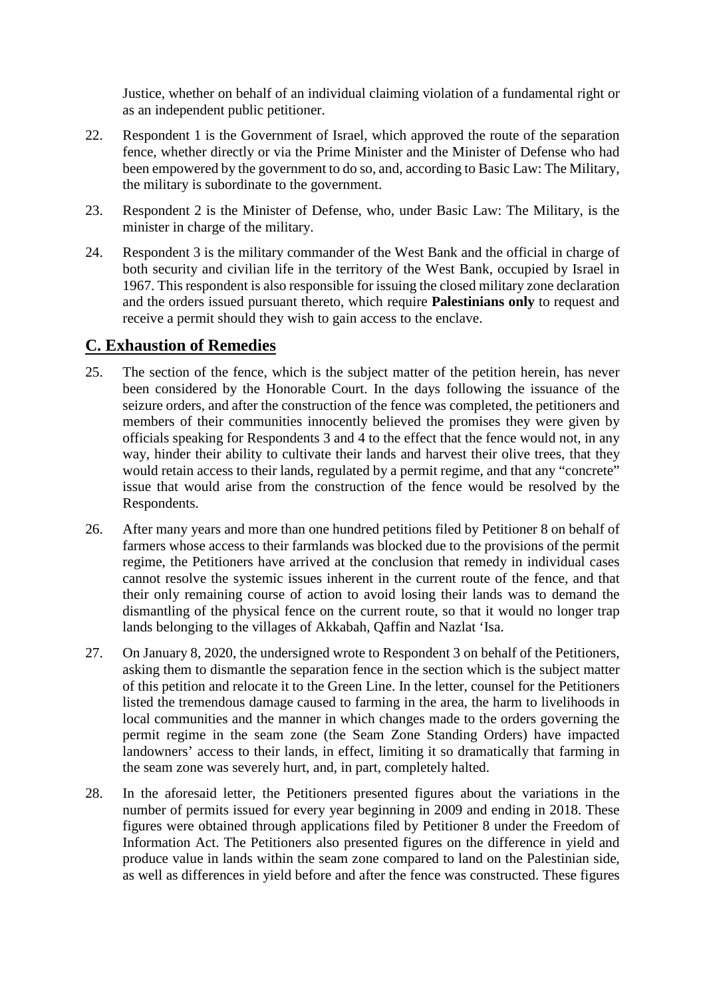Justice, whether on behalf of an individual claiming violation of a fundamental right or as an independent public petitioner.

- 22. Respondent 1 is the Government of Israel, which approved the route of the separation fence, whether directly or via the Prime Minister and the Minister of Defense who had been empowered by the government to do so, and, according to Basic Law: The Military, the military is subordinate to the government.
- 23. Respondent 2 is the Minister of Defense, who, under Basic Law: The Military, is the minister in charge of the military.
- 24. Respondent 3 is the military commander of the West Bank and the official in charge of both security and civilian life in the territory of the West Bank, occupied by Israel in 1967. This respondent is also responsible for issuing the closed military zone declaration and the orders issued pursuant thereto, which require **Palestinians only** to request and receive a permit should they wish to gain access to the enclave.

## **C. Exhaustion of Remedies**

- 25. The section of the fence, which is the subject matter of the petition herein, has never been considered by the Honorable Court. In the days following the issuance of the seizure orders, and after the construction of the fence was completed, the petitioners and members of their communities innocently believed the promises they were given by officials speaking for Respondents 3 and 4 to the effect that the fence would not, in any way, hinder their ability to cultivate their lands and harvest their olive trees, that they would retain access to their lands, regulated by a permit regime, and that any "concrete" issue that would arise from the construction of the fence would be resolved by the Respondents.
- 26. After many years and more than one hundred petitions filed by Petitioner 8 on behalf of farmers whose access to their farmlands was blocked due to the provisions of the permit regime, the Petitioners have arrived at the conclusion that remedy in individual cases cannot resolve the systemic issues inherent in the current route of the fence, and that their only remaining course of action to avoid losing their lands was to demand the dismantling of the physical fence on the current route, so that it would no longer trap lands belonging to the villages of Akkabah, Qaffin and Nazlat 'Isa.
- 27. On January 8, 2020, the undersigned wrote to Respondent 3 on behalf of the Petitioners, asking them to dismantle the separation fence in the section which is the subject matter of this petition and relocate it to the Green Line. In the letter, counsel for the Petitioners listed the tremendous damage caused to farming in the area, the harm to livelihoods in local communities and the manner in which changes made to the orders governing the permit regime in the seam zone (the Seam Zone Standing Orders) have impacted landowners' access to their lands, in effect, limiting it so dramatically that farming in the seam zone was severely hurt, and, in part, completely halted.
- 28. In the aforesaid letter, the Petitioners presented figures about the variations in the number of permits issued for every year beginning in 2009 and ending in 2018. These figures were obtained through applications filed by Petitioner 8 under the Freedom of Information Act. The Petitioners also presented figures on the difference in yield and produce value in lands within the seam zone compared to land on the Palestinian side, as well as differences in yield before and after the fence was constructed. These figures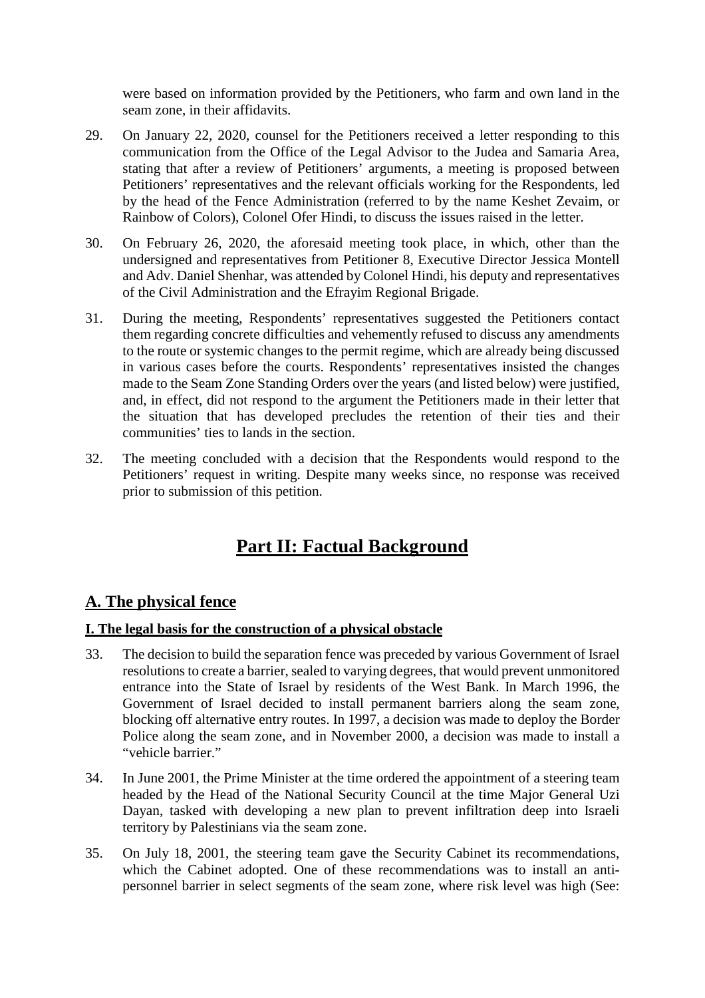were based on information provided by the Petitioners, who farm and own land in the seam zone, in their affidavits.

- 29. On January 22, 2020, counsel for the Petitioners received a letter responding to this communication from the Office of the Legal Advisor to the Judea and Samaria Area, stating that after a review of Petitioners' arguments, a meeting is proposed between Petitioners' representatives and the relevant officials working for the Respondents, led by the head of the Fence Administration (referred to by the name Keshet Zevaim, or Rainbow of Colors), Colonel Ofer Hindi, to discuss the issues raised in the letter.
- 30. On February 26, 2020, the aforesaid meeting took place, in which, other than the undersigned and representatives from Petitioner 8, Executive Director Jessica Montell and Adv. Daniel Shenhar, was attended by Colonel Hindi, his deputy and representatives of the Civil Administration and the Efrayim Regional Brigade.
- 31. During the meeting, Respondents' representatives suggested the Petitioners contact them regarding concrete difficulties and vehemently refused to discuss any amendments to the route or systemic changes to the permit regime, which are already being discussed in various cases before the courts. Respondents' representatives insisted the changes made to the Seam Zone Standing Orders over the years (and listed below) were justified, and, in effect, did not respond to the argument the Petitioners made in their letter that the situation that has developed precludes the retention of their ties and their communities' ties to lands in the section.
- 32. The meeting concluded with a decision that the Respondents would respond to the Petitioners' request in writing. Despite many weeks since, no response was received prior to submission of this petition.

## **Part II: Factual Background**

## **A. The physical fence**

#### **I. The legal basis for the construction of a physical obstacle**

- 33. The decision to build the separation fence was preceded by various Government of Israel resolutions to create a barrier, sealed to varying degrees, that would prevent unmonitored entrance into the State of Israel by residents of the West Bank. In March 1996, the Government of Israel decided to install permanent barriers along the seam zone, blocking off alternative entry routes. In 1997, a decision was made to deploy the Border Police along the seam zone, and in November 2000, a decision was made to install a "vehicle barrier."
- 34. In June 2001, the Prime Minister at the time ordered the appointment of a steering team headed by the Head of the National Security Council at the time Major General Uzi Dayan, tasked with developing a new plan to prevent infiltration deep into Israeli territory by Palestinians via the seam zone.
- 35. On July 18, 2001, the steering team gave the Security Cabinet its recommendations, which the Cabinet adopted. One of these recommendations was to install an antipersonnel barrier in select segments of the seam zone, where risk level was high (See: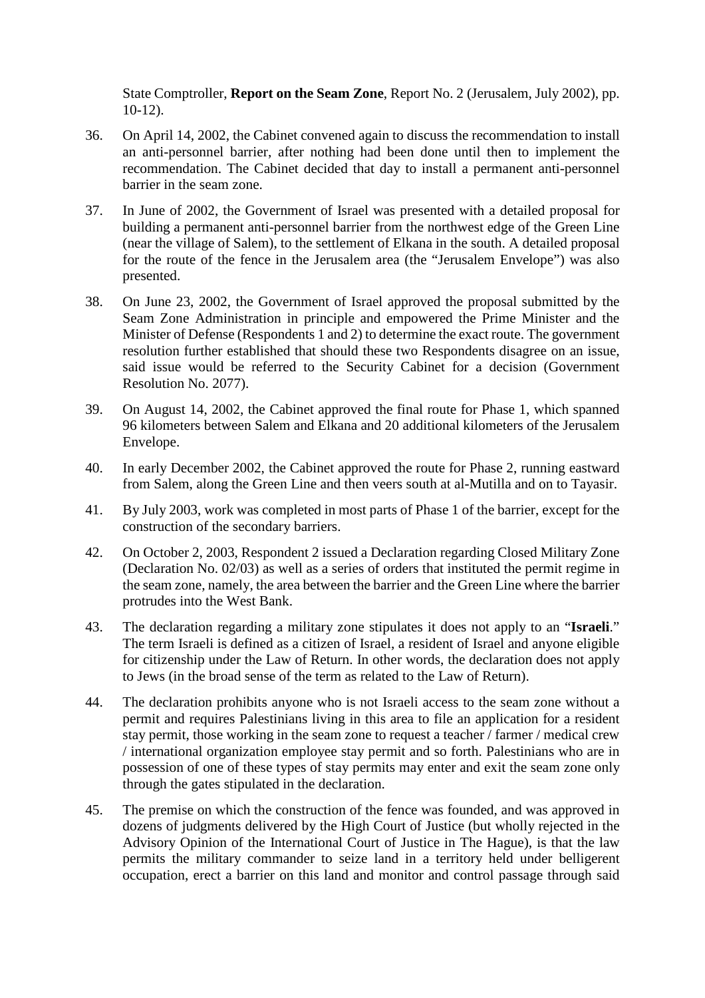State Comptroller, **Report on the Seam Zone**, Report No. 2 (Jerusalem, July 2002), pp. 10-12).

- 36. On April 14, 2002, the Cabinet convened again to discuss the recommendation to install an anti-personnel barrier, after nothing had been done until then to implement the recommendation. The Cabinet decided that day to install a permanent anti-personnel barrier in the seam zone.
- 37. In June of 2002, the Government of Israel was presented with a detailed proposal for building a permanent anti-personnel barrier from the northwest edge of the Green Line (near the village of Salem), to the settlement of Elkana in the south. A detailed proposal for the route of the fence in the Jerusalem area (the "Jerusalem Envelope") was also presented.
- 38. On June 23, 2002, the Government of Israel approved the proposal submitted by the Seam Zone Administration in principle and empowered the Prime Minister and the Minister of Defense (Respondents 1 and 2) to determine the exact route. The government resolution further established that should these two Respondents disagree on an issue, said issue would be referred to the Security Cabinet for a decision (Government Resolution No. 2077).
- 39. On August 14, 2002, the Cabinet approved the final route for Phase 1, which spanned 96 kilometers between Salem and Elkana and 20 additional kilometers of the Jerusalem Envelope.
- 40. In early December 2002, the Cabinet approved the route for Phase 2, running eastward from Salem, along the Green Line and then veers south at al-Mutilla and on to Tayasir.
- 41. By July 2003, work was completed in most parts of Phase 1 of the barrier, except for the construction of the secondary barriers.
- 42. On October 2, 2003, Respondent 2 issued a Declaration regarding Closed Military Zone (Declaration No. 02/03) as well as a series of orders that instituted the permit regime in the seam zone, namely, the area between the barrier and the Green Line where the barrier protrudes into the West Bank.
- 43. The declaration regarding a military zone stipulates it does not apply to an "**Israeli**." The term Israeli is defined as a citizen of Israel, a resident of Israel and anyone eligible for citizenship under the Law of Return. In other words, the declaration does not apply to Jews (in the broad sense of the term as related to the Law of Return).
- 44. The declaration prohibits anyone who is not Israeli access to the seam zone without a permit and requires Palestinians living in this area to file an application for a resident stay permit, those working in the seam zone to request a teacher / farmer / medical crew / international organization employee stay permit and so forth. Palestinians who are in possession of one of these types of stay permits may enter and exit the seam zone only through the gates stipulated in the declaration.
- 45. The premise on which the construction of the fence was founded, and was approved in dozens of judgments delivered by the High Court of Justice (but wholly rejected in the Advisory Opinion of the International Court of Justice in The Hague), is that the law permits the military commander to seize land in a territory held under belligerent occupation, erect a barrier on this land and monitor and control passage through said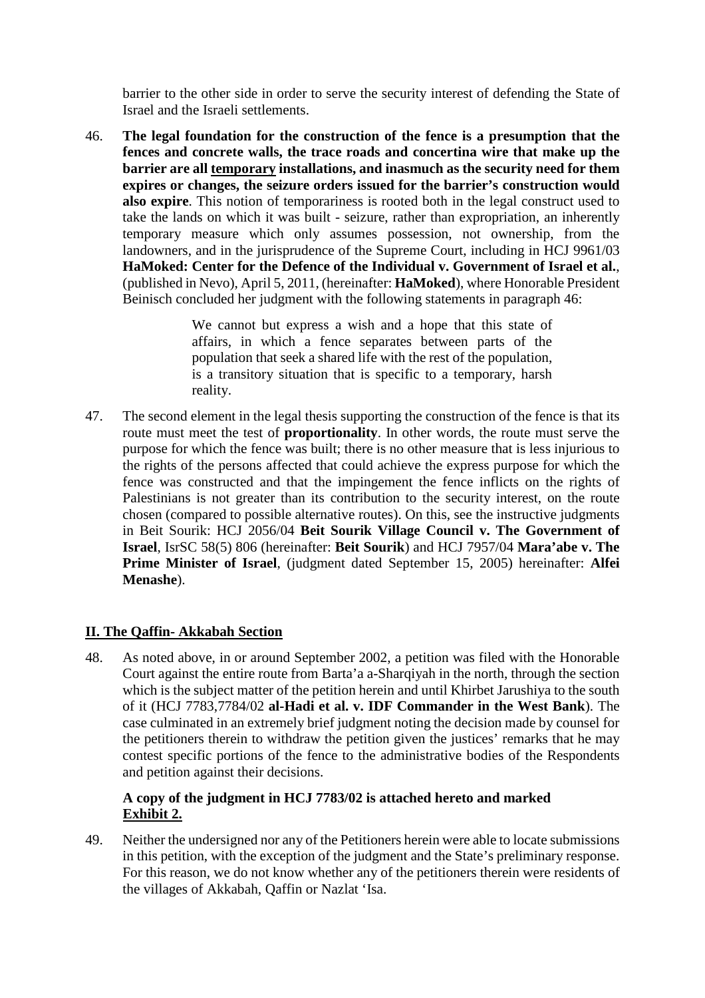barrier to the other side in order to serve the security interest of defending the State of Israel and the Israeli settlements.

46. **The legal foundation for the construction of the fence is a presumption that the fences and concrete walls, the trace roads and concertina wire that make up the barrier are all temporary installations, and inasmuch as the security need for them expires or changes, the seizure orders issued for the barrier's construction would also expire**. This notion of temporariness is rooted both in the legal construct used to take the lands on which it was built - seizure, rather than expropriation, an inherently temporary measure which only assumes possession, not ownership, from the landowners, and in the jurisprudence of the Supreme Court, including in HCJ 9961/03 **HaMoked: Center for the Defence of the Individual v. Government of Israel et al.**, (published in Nevo), April 5, 2011, (hereinafter: **HaMoked**), where Honorable President Beinisch concluded her judgment with the following statements in paragraph 46:

> We cannot but express a wish and a hope that this state of affairs, in which a fence separates between parts of the population that seek a shared life with the rest of the population, is a transitory situation that is specific to a temporary, harsh reality.

47. The second element in the legal thesis supporting the construction of the fence is that its route must meet the test of **proportionality**. In other words, the route must serve the purpose for which the fence was built; there is no other measure that is less injurious to the rights of the persons affected that could achieve the express purpose for which the fence was constructed and that the impingement the fence inflicts on the rights of Palestinians is not greater than its contribution to the security interest, on the route chosen (compared to possible alternative routes). On this, see the instructive judgments in Beit Sourik: HCJ 2056/04 **Beit Sourik Village Council v. The Government of Israel**, IsrSC 58(5) 806 (hereinafter: **Beit Sourik**) and HCJ 7957/04 **Mara'abe v. The Prime Minister of Israel**, (judgment dated September 15, 2005) hereinafter: **Alfei Menashe**).

#### **II. The Qaffin- Akkabah Section**

48. As noted above, in or around September 2002, a petition was filed with the Honorable Court against the entire route from Barta'a a-Sharqiyah in the north, through the section which is the subject matter of the petition herein and until Khirbet Jarushiya to the south of it (HCJ 7783,7784/02 **al-Hadi et al. v. IDF Commander in the West Bank**). The case culminated in an extremely brief judgment noting the decision made by counsel for the petitioners therein to withdraw the petition given the justices' remarks that he may contest specific portions of the fence to the administrative bodies of the Respondents and petition against their decisions.

#### **A copy of the judgment in HCJ 7783/02 is attached hereto and marked Exhibit 2.**

49. Neither the undersigned nor any of the Petitioners herein were able to locate submissions in this petition, with the exception of the judgment and the State's preliminary response. For this reason, we do not know whether any of the petitioners therein were residents of the villages of Akkabah, Qaffin or Nazlat 'Isa.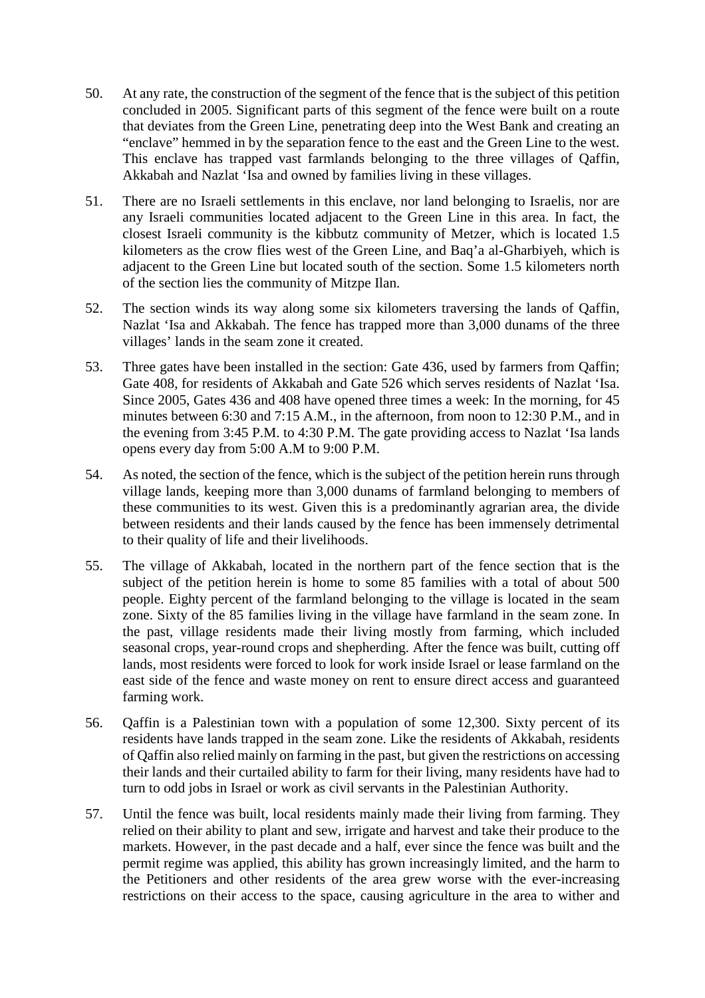- 50. At any rate, the construction of the segment of the fence that is the subject of this petition concluded in 2005. Significant parts of this segment of the fence were built on a route that deviates from the Green Line, penetrating deep into the West Bank and creating an "enclave" hemmed in by the separation fence to the east and the Green Line to the west. This enclave has trapped vast farmlands belonging to the three villages of Qaffin, Akkabah and Nazlat 'Isa and owned by families living in these villages.
- 51. There are no Israeli settlements in this enclave, nor land belonging to Israelis, nor are any Israeli communities located adjacent to the Green Line in this area. In fact, the closest Israeli community is the kibbutz community of Metzer, which is located 1.5 kilometers as the crow flies west of the Green Line, and Baq'a al-Gharbiyeh, which is adjacent to the Green Line but located south of the section. Some 1.5 kilometers north of the section lies the community of Mitzpe Ilan.
- 52. The section winds its way along some six kilometers traversing the lands of Qaffin, Nazlat 'Isa and Akkabah. The fence has trapped more than 3,000 dunams of the three villages' lands in the seam zone it created.
- 53. Three gates have been installed in the section: Gate 436, used by farmers from Qaffin; Gate 408, for residents of Akkabah and Gate 526 which serves residents of Nazlat 'Isa. Since 2005, Gates 436 and 408 have opened three times a week: In the morning, for 45 minutes between 6:30 and 7:15 A.M., in the afternoon, from noon to 12:30 P.M., and in the evening from 3:45 P.M. to 4:30 P.M. The gate providing access to Nazlat 'Isa lands opens every day from 5:00 A.M to 9:00 P.M.
- 54. As noted, the section of the fence, which is the subject of the petition herein runs through village lands, keeping more than 3,000 dunams of farmland belonging to members of these communities to its west. Given this is a predominantly agrarian area, the divide between residents and their lands caused by the fence has been immensely detrimental to their quality of life and their livelihoods.
- 55. The village of Akkabah, located in the northern part of the fence section that is the subject of the petition herein is home to some 85 families with a total of about 500 people. Eighty percent of the farmland belonging to the village is located in the seam zone. Sixty of the 85 families living in the village have farmland in the seam zone. In the past, village residents made their living mostly from farming, which included seasonal crops, year-round crops and shepherding. After the fence was built, cutting off lands, most residents were forced to look for work inside Israel or lease farmland on the east side of the fence and waste money on rent to ensure direct access and guaranteed farming work.
- 56. Qaffin is a Palestinian town with a population of some 12,300. Sixty percent of its residents have lands trapped in the seam zone. Like the residents of Akkabah, residents of Qaffin also relied mainly on farming in the past, but given the restrictions on accessing their lands and their curtailed ability to farm for their living, many residents have had to turn to odd jobs in Israel or work as civil servants in the Palestinian Authority.
- 57. Until the fence was built, local residents mainly made their living from farming. They relied on their ability to plant and sew, irrigate and harvest and take their produce to the markets. However, in the past decade and a half, ever since the fence was built and the permit regime was applied, this ability has grown increasingly limited, and the harm to the Petitioners and other residents of the area grew worse with the ever-increasing restrictions on their access to the space, causing agriculture in the area to wither and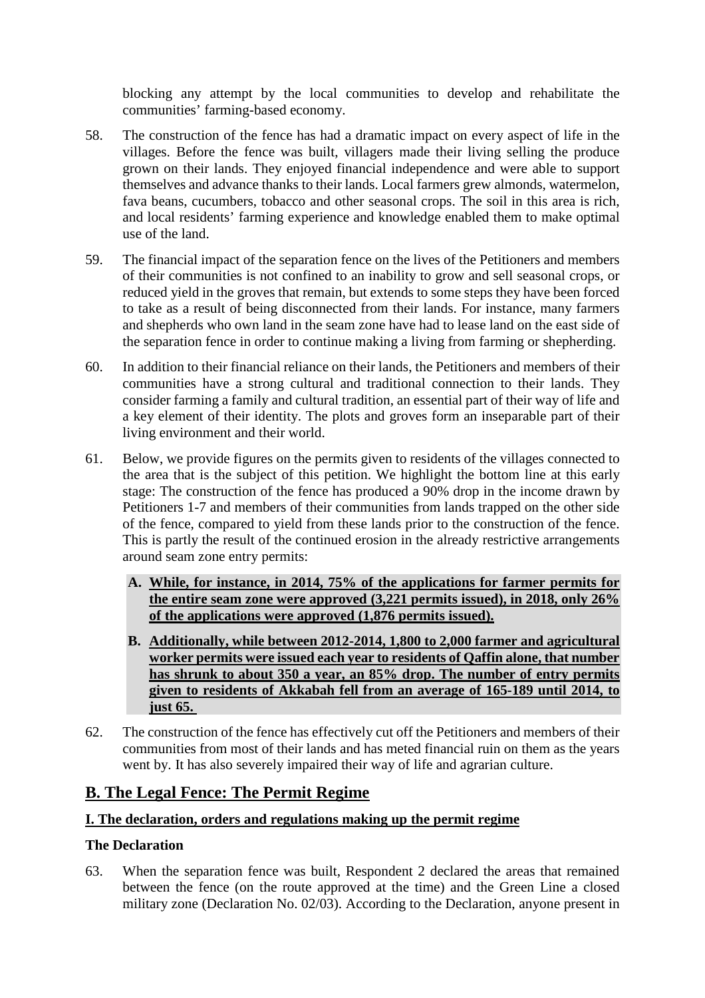blocking any attempt by the local communities to develop and rehabilitate the communities' farming-based economy.

- 58. The construction of the fence has had a dramatic impact on every aspect of life in the villages. Before the fence was built, villagers made their living selling the produce grown on their lands. They enjoyed financial independence and were able to support themselves and advance thanks to their lands. Local farmers grew almonds, watermelon, fava beans, cucumbers, tobacco and other seasonal crops. The soil in this area is rich, and local residents' farming experience and knowledge enabled them to make optimal use of the land.
- 59. The financial impact of the separation fence on the lives of the Petitioners and members of their communities is not confined to an inability to grow and sell seasonal crops, or reduced yield in the groves that remain, but extends to some steps they have been forced to take as a result of being disconnected from their lands. For instance, many farmers and shepherds who own land in the seam zone have had to lease land on the east side of the separation fence in order to continue making a living from farming or shepherding.
- 60. In addition to their financial reliance on their lands, the Petitioners and members of their communities have a strong cultural and traditional connection to their lands. They consider farming a family and cultural tradition, an essential part of their way of life and a key element of their identity. The plots and groves form an inseparable part of their living environment and their world.
- 61. Below, we provide figures on the permits given to residents of the villages connected to the area that is the subject of this petition. We highlight the bottom line at this early stage: The construction of the fence has produced a 90% drop in the income drawn by Petitioners 1-7 and members of their communities from lands trapped on the other side of the fence, compared to yield from these lands prior to the construction of the fence. This is partly the result of the continued erosion in the already restrictive arrangements around seam zone entry permits:
	- **A. While, for instance, in 2014, 75% of the applications for farmer permits for the entire seam zone were approved (3,221 permits issued), in 2018, only 26% of the applications were approved (1,876 permits issued).**
	- **B. Additionally, while between 2012-2014, 1,800 to 2,000 farmer and agricultural worker permits were issued each year to residents of Qaffin alone, that number has shrunk to about 350 a year, an 85% drop. The number of entry permits given to residents of Akkabah fell from an average of 165-189 until 2014, to just 65.**
- 62. The construction of the fence has effectively cut off the Petitioners and members of their communities from most of their lands and has meted financial ruin on them as the years went by. It has also severely impaired their way of life and agrarian culture.

## **B. The Legal Fence: The Permit Regime**

#### **I. The declaration, orders and regulations making up the permit regime**

#### **The Declaration**

63. When the separation fence was built, Respondent 2 declared the areas that remained between the fence (on the route approved at the time) and the Green Line a closed military zone (Declaration No. 02/03). According to the Declaration, anyone present in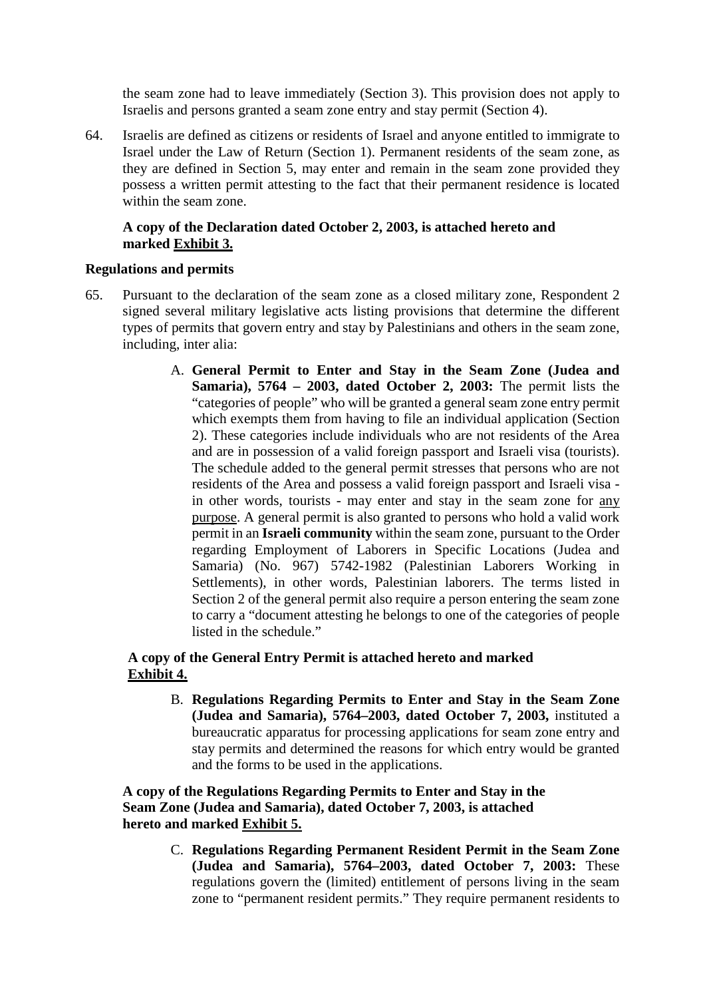the seam zone had to leave immediately (Section 3). This provision does not apply to Israelis and persons granted a seam zone entry and stay permit (Section 4).

64. Israelis are defined as citizens or residents of Israel and anyone entitled to immigrate to Israel under the Law of Return (Section 1). Permanent residents of the seam zone, as they are defined in Section 5, may enter and remain in the seam zone provided they possess a written permit attesting to the fact that their permanent residence is located within the seam zone.

#### **A copy of the Declaration dated October 2, 2003, is attached hereto and marked Exhibit 3.**

#### **Regulations and permits**

- 65. Pursuant to the declaration of the seam zone as a closed military zone, Respondent 2 signed several military legislative acts listing provisions that determine the different types of permits that govern entry and stay by Palestinians and others in the seam zone, including, inter alia:
	- A. **General Permit to Enter and Stay in the Seam Zone (Judea and Samaria), 5764 – 2003, dated October 2, 2003:** The permit lists the "categories of people" who will be granted a general seam zone entry permit which exempts them from having to file an individual application (Section 2). These categories include individuals who are not residents of the Area and are in possession of a valid foreign passport and Israeli visa (tourists). The schedule added to the general permit stresses that persons who are not residents of the Area and possess a valid foreign passport and Israeli visa in other words, tourists - may enter and stay in the seam zone for any purpose. A general permit is also granted to persons who hold a valid work permit in an **Israeli community** within the seam zone, pursuant to the Order regarding Employment of Laborers in Specific Locations (Judea and Samaria) (No. 967) 5742-1982 (Palestinian Laborers Working in Settlements), in other words, Palestinian laborers. The terms listed in Section 2 of the general permit also require a person entering the seam zone to carry a "document attesting he belongs to one of the categories of people listed in the schedule."

#### **A copy of the General Entry Permit is attached hereto and marked Exhibit 4.**

B. **Regulations Regarding Permits to Enter and Stay in the Seam Zone (Judea and Samaria), 5764–2003, dated October 7, 2003,** instituted a bureaucratic apparatus for processing applications for seam zone entry and stay permits and determined the reasons for which entry would be granted and the forms to be used in the applications.

#### **A copy of the Regulations Regarding Permits to Enter and Stay in the Seam Zone (Judea and Samaria), dated October 7, 2003, is attached hereto and marked Exhibit 5.**

C. **Regulations Regarding Permanent Resident Permit in the Seam Zone (Judea and Samaria), 5764–2003, dated October 7, 2003:** These regulations govern the (limited) entitlement of persons living in the seam zone to "permanent resident permits." They require permanent residents to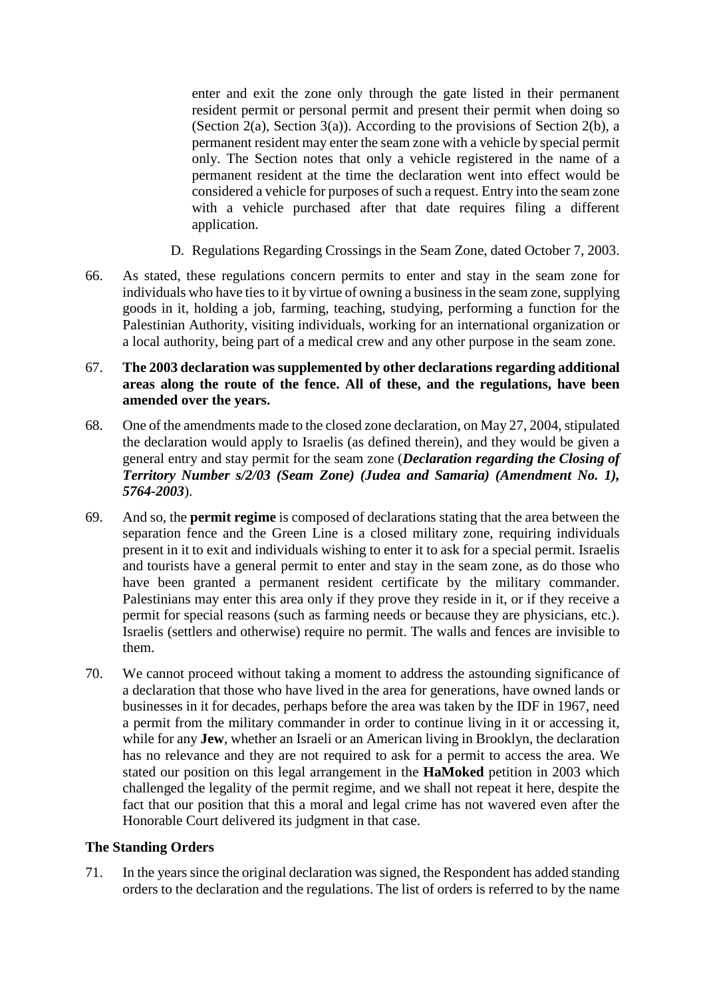enter and exit the zone only through the gate listed in their permanent resident permit or personal permit and present their permit when doing so (Section 2(a), Section 3(a)). According to the provisions of Section 2(b), a permanent resident may enter the seam zone with a vehicle by special permit only. The Section notes that only a vehicle registered in the name of a permanent resident at the time the declaration went into effect would be considered a vehicle for purposes of such a request. Entry into the seam zone with a vehicle purchased after that date requires filing a different application.

- D. Regulations Regarding Crossings in the Seam Zone, dated October 7, 2003.
- 66. As stated, these regulations concern permits to enter and stay in the seam zone for individuals who have ties to it by virtue of owning a business in the seam zone, supplying goods in it, holding a job, farming, teaching, studying, performing a function for the Palestinian Authority, visiting individuals, working for an international organization or a local authority, being part of a medical crew and any other purpose in the seam zone.

#### 67. **The 2003 declaration was supplemented by other declarations regarding additional areas along the route of the fence. All of these, and the regulations, have been amended over the years.**

- 68. One of the amendments made to the closed zone declaration, on May 27, 2004, stipulated the declaration would apply to Israelis (as defined therein), and they would be given a general entry and stay permit for the seam zone (*Declaration regarding the Closing of Territory Number s/2/03 (Seam Zone) (Judea and Samaria) (Amendment No. 1), 5764-2003*).
- 69. And so, the **permit regime** is composed of declarations stating that the area between the separation fence and the Green Line is a closed military zone, requiring individuals present in it to exit and individuals wishing to enter it to ask for a special permit. Israelis and tourists have a general permit to enter and stay in the seam zone, as do those who have been granted a permanent resident certificate by the military commander. Palestinians may enter this area only if they prove they reside in it, or if they receive a permit for special reasons (such as farming needs or because they are physicians, etc.). Israelis (settlers and otherwise) require no permit. The walls and fences are invisible to them.
- 70. We cannot proceed without taking a moment to address the astounding significance of a declaration that those who have lived in the area for generations, have owned lands or businesses in it for decades, perhaps before the area was taken by the IDF in 1967, need a permit from the military commander in order to continue living in it or accessing it, while for any **Jew**, whether an Israeli or an American living in Brooklyn, the declaration has no relevance and they are not required to ask for a permit to access the area. We stated our position on this legal arrangement in the **HaMoked** petition in 2003 which challenged the legality of the permit regime, and we shall not repeat it here, despite the fact that our position that this a moral and legal crime has not wavered even after the Honorable Court delivered its judgment in that case.

#### **The Standing Orders**

71. In the years since the original declaration was signed, the Respondent has added standing orders to the declaration and the regulations. The list of orders is referred to by the name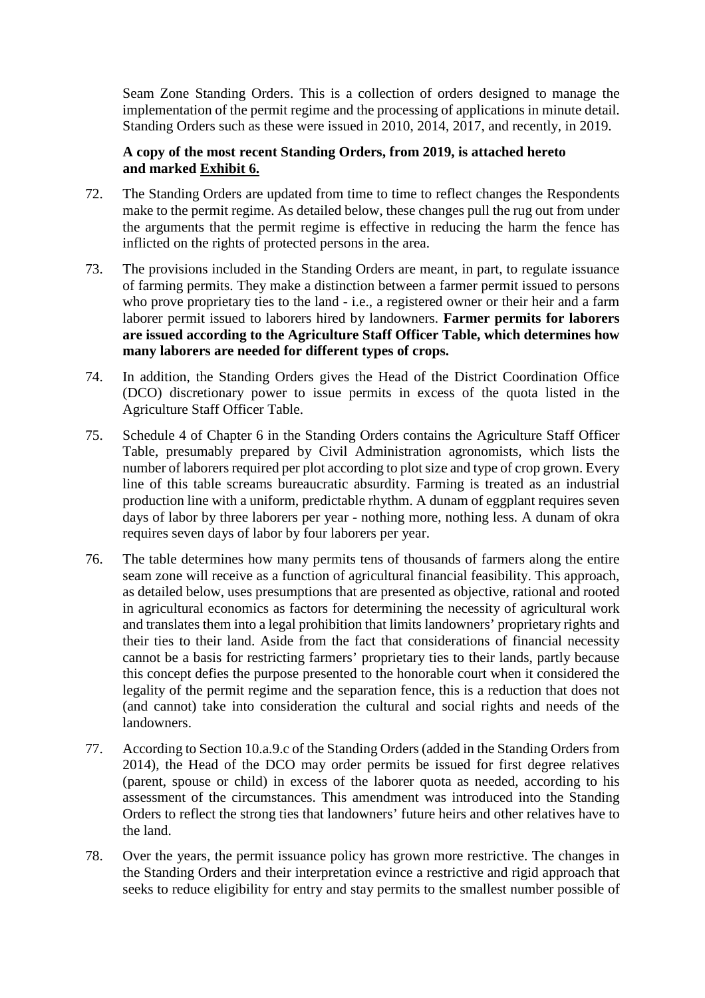Seam Zone Standing Orders. This is a collection of orders designed to manage the implementation of the permit regime and the processing of applications in minute detail. Standing Orders such as these were issued in 2010, 2014, 2017, and recently, in 2019.

#### **A copy of the most recent Standing Orders, from 2019, is attached hereto and marked Exhibit 6.**

- 72. The Standing Orders are updated from time to time to reflect changes the Respondents make to the permit regime. As detailed below, these changes pull the rug out from under the arguments that the permit regime is effective in reducing the harm the fence has inflicted on the rights of protected persons in the area.
- 73. The provisions included in the Standing Orders are meant, in part, to regulate issuance of farming permits. They make a distinction between a farmer permit issued to persons who prove proprietary ties to the land - i.e., a registered owner or their heir and a farm laborer permit issued to laborers hired by landowners. **Farmer permits for laborers are issued according to the Agriculture Staff Officer Table, which determines how many laborers are needed for different types of crops.**
- 74. In addition, the Standing Orders gives the Head of the District Coordination Office (DCO) discretionary power to issue permits in excess of the quota listed in the Agriculture Staff Officer Table.
- 75. Schedule 4 of Chapter 6 in the Standing Orders contains the Agriculture Staff Officer Table, presumably prepared by Civil Administration agronomists, which lists the number of laborers required per plot according to plot size and type of crop grown. Every line of this table screams bureaucratic absurdity. Farming is treated as an industrial production line with a uniform, predictable rhythm. A dunam of eggplant requires seven days of labor by three laborers per year - nothing more, nothing less. A dunam of okra requires seven days of labor by four laborers per year.
- 76. The table determines how many permits tens of thousands of farmers along the entire seam zone will receive as a function of agricultural financial feasibility. This approach, as detailed below, uses presumptions that are presented as objective, rational and rooted in agricultural economics as factors for determining the necessity of agricultural work and translates them into a legal prohibition that limits landowners' proprietary rights and their ties to their land. Aside from the fact that considerations of financial necessity cannot be a basis for restricting farmers' proprietary ties to their lands, partly because this concept defies the purpose presented to the honorable court when it considered the legality of the permit regime and the separation fence, this is a reduction that does not (and cannot) take into consideration the cultural and social rights and needs of the landowners.
- 77. According to Section 10.a.9.c of the Standing Orders (added in the Standing Orders from 2014), the Head of the DCO may order permits be issued for first degree relatives (parent, spouse or child) in excess of the laborer quota as needed, according to his assessment of the circumstances. This amendment was introduced into the Standing Orders to reflect the strong ties that landowners' future heirs and other relatives have to the land.
- 78. Over the years, the permit issuance policy has grown more restrictive. The changes in the Standing Orders and their interpretation evince a restrictive and rigid approach that seeks to reduce eligibility for entry and stay permits to the smallest number possible of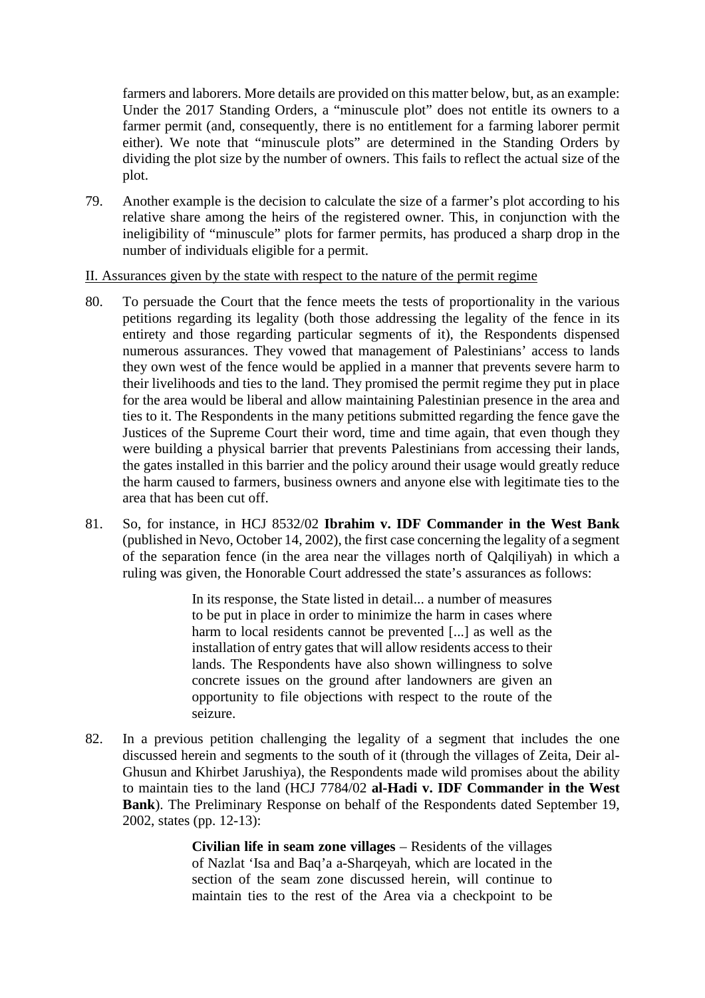farmers and laborers. More details are provided on this matter below, but, as an example: Under the 2017 Standing Orders, a "minuscule plot" does not entitle its owners to a farmer permit (and, consequently, there is no entitlement for a farming laborer permit either). We note that "minuscule plots" are determined in the Standing Orders by dividing the plot size by the number of owners. This fails to reflect the actual size of the plot.

79. Another example is the decision to calculate the size of a farmer's plot according to his relative share among the heirs of the registered owner. This, in conjunction with the ineligibility of "minuscule" plots for farmer permits, has produced a sharp drop in the number of individuals eligible for a permit.

II. Assurances given by the state with respect to the nature of the permit regime

- 80. To persuade the Court that the fence meets the tests of proportionality in the various petitions regarding its legality (both those addressing the legality of the fence in its entirety and those regarding particular segments of it), the Respondents dispensed numerous assurances. They vowed that management of Palestinians' access to lands they own west of the fence would be applied in a manner that prevents severe harm to their livelihoods and ties to the land. They promised the permit regime they put in place for the area would be liberal and allow maintaining Palestinian presence in the area and ties to it. The Respondents in the many petitions submitted regarding the fence gave the Justices of the Supreme Court their word, time and time again, that even though they were building a physical barrier that prevents Palestinians from accessing their lands, the gates installed in this barrier and the policy around their usage would greatly reduce the harm caused to farmers, business owners and anyone else with legitimate ties to the area that has been cut off.
- 81. So, for instance, in HCJ 8532/02 **Ibrahim v. IDF Commander in the West Bank**  (published in Nevo, October 14, 2002), the first case concerning the legality of a segment of the separation fence (in the area near the villages north of Qalqiliyah) in which a ruling was given, the Honorable Court addressed the state's assurances as follows:

In its response, the State listed in detail... a number of measures to be put in place in order to minimize the harm in cases where harm to local residents cannot be prevented [...] as well as the installation of entry gates that will allow residents access to their lands. The Respondents have also shown willingness to solve concrete issues on the ground after landowners are given an opportunity to file objections with respect to the route of the seizure.

82. In a previous petition challenging the legality of a segment that includes the one discussed herein and segments to the south of it (through the villages of Zeita, Deir al-Ghusun and Khirbet Jarushiya), the Respondents made wild promises about the ability to maintain ties to the land (HCJ 7784/02 **al-Hadi v. IDF Commander in the West Bank**). The Preliminary Response on behalf of the Respondents dated September 19, 2002, states (pp. 12-13):

> **Civilian life in seam zone villages** – Residents of the villages of Nazlat 'Isa and Baq'a a-Sharqeyah, which are located in the section of the seam zone discussed herein, will continue to maintain ties to the rest of the Area via a checkpoint to be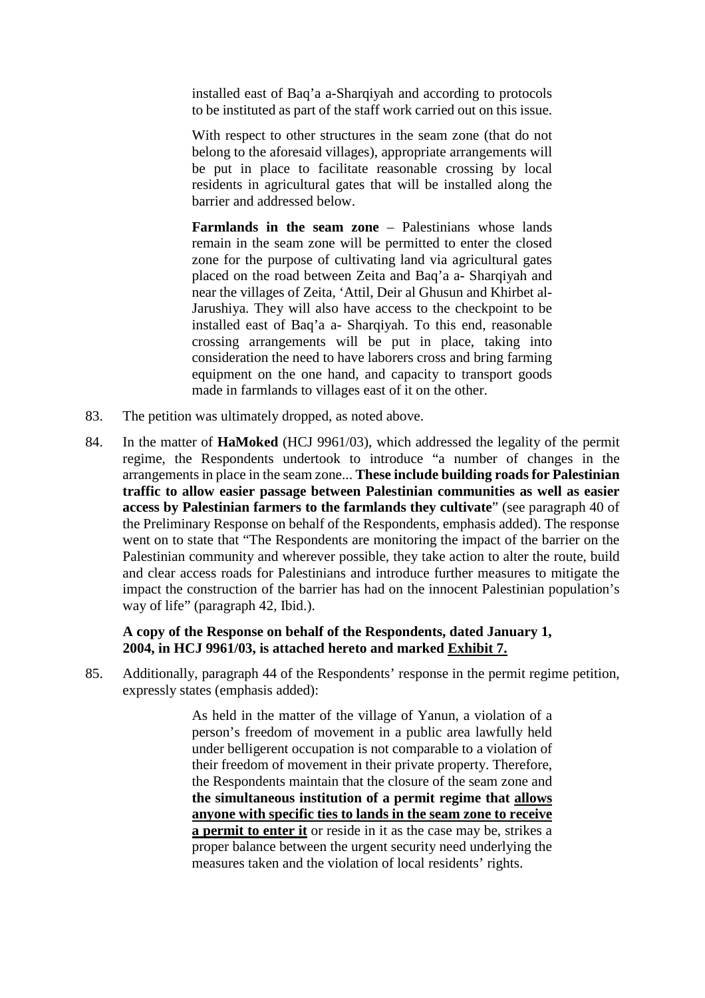installed east of Baq'a a-Sharqiyah and according to protocols to be instituted as part of the staff work carried out on this issue.

With respect to other structures in the seam zone (that do not belong to the aforesaid villages), appropriate arrangements will be put in place to facilitate reasonable crossing by local residents in agricultural gates that will be installed along the barrier and addressed below.

**Farmlands in the seam zone** – Palestinians whose lands remain in the seam zone will be permitted to enter the closed zone for the purpose of cultivating land via agricultural gates placed on the road between Zeita and Baq'a a- Sharqiyah and near the villages of Zeita, 'Attil, Deir al Ghusun and Khirbet al-Jarushiya. They will also have access to the checkpoint to be installed east of Baq'a a- Sharqiyah. To this end, reasonable crossing arrangements will be put in place, taking into consideration the need to have laborers cross and bring farming equipment on the one hand, and capacity to transport goods made in farmlands to villages east of it on the other.

- 83. The petition was ultimately dropped, as noted above.
- 84. In the matter of **HaMoked** (HCJ 9961/03), which addressed the legality of the permit regime, the Respondents undertook to introduce "a number of changes in the arrangements in place in the seam zone... **These include building roads for Palestinian traffic to allow easier passage between Palestinian communities as well as easier access by Palestinian farmers to the farmlands they cultivate**" (see paragraph 40 of the Preliminary Response on behalf of the Respondents, emphasis added). The response went on to state that "The Respondents are monitoring the impact of the barrier on the Palestinian community and wherever possible, they take action to alter the route, build and clear access roads for Palestinians and introduce further measures to mitigate the impact the construction of the barrier has had on the innocent Palestinian population's way of life" (paragraph 42, Ibid.).

#### **A copy of the Response on behalf of the Respondents, dated January 1, 2004, in HCJ 9961/03, is attached hereto and marked Exhibit 7.**

85. Additionally, paragraph 44 of the Respondents' response in the permit regime petition, expressly states (emphasis added):

> As held in the matter of the village of Yanun, a violation of a person's freedom of movement in a public area lawfully held under belligerent occupation is not comparable to a violation of their freedom of movement in their private property. Therefore, the Respondents maintain that the closure of the seam zone and **the simultaneous institution of a permit regime that allows anyone with specific ties to lands in the seam zone to receive a permit to enter it** or reside in it as the case may be, strikes a proper balance between the urgent security need underlying the measures taken and the violation of local residents' rights.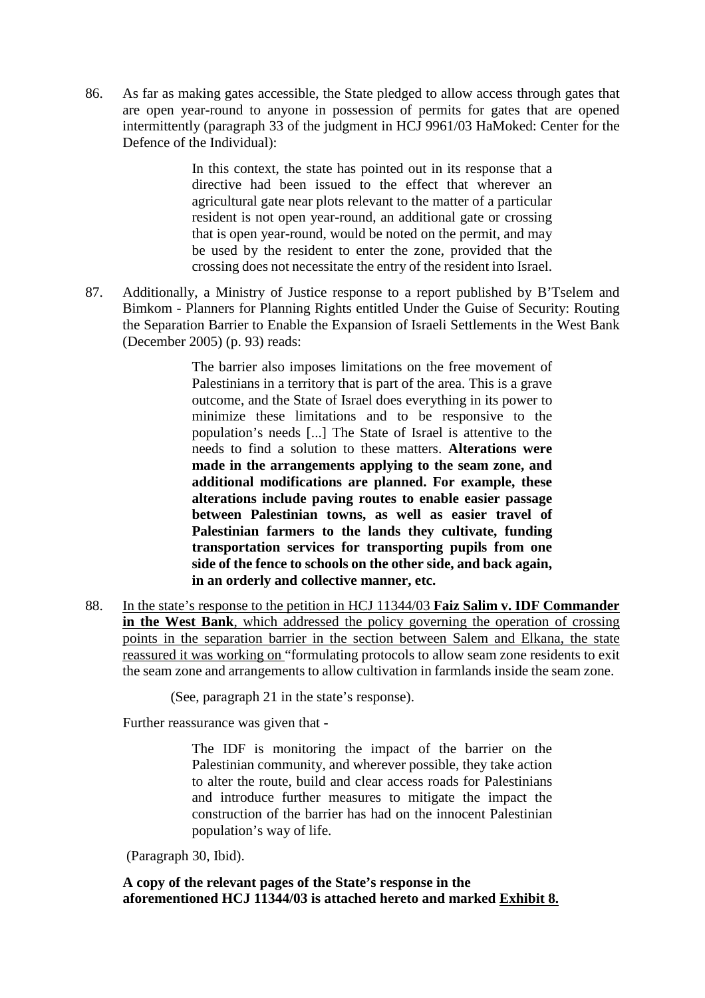86. As far as making gates accessible, the State pledged to allow access through gates that are open year-round to anyone in possession of permits for gates that are opened intermittently (paragraph 33 of the judgment in HCJ 9961/03 HaMoked: Center for the Defence of the Individual):

> In this context, the state has pointed out in its response that a directive had been issued to the effect that wherever an agricultural gate near plots relevant to the matter of a particular resident is not open year-round, an additional gate or crossing that is open year-round, would be noted on the permit, and may be used by the resident to enter the zone, provided that the crossing does not necessitate the entry of the resident into Israel.

87. Additionally, a Ministry of Justice response to a report published by B'Tselem and Bimkom - Planners for Planning Rights entitled Under the Guise of Security: Routing the Separation Barrier to Enable the Expansion of Israeli Settlements in the West Bank (December 2005) (p. 93) reads:

> The barrier also imposes limitations on the free movement of Palestinians in a territory that is part of the area. This is a grave outcome, and the State of Israel does everything in its power to minimize these limitations and to be responsive to the population's needs [...] The State of Israel is attentive to the needs to find a solution to these matters. **Alterations were made in the arrangements applying to the seam zone, and additional modifications are planned. For example, these alterations include paving routes to enable easier passage between Palestinian towns, as well as easier travel of Palestinian farmers to the lands they cultivate, funding transportation services for transporting pupils from one side of the fence to schools on the other side, and back again, in an orderly and collective manner, etc.**

88. In the state's response to the petition in HCJ 11344/03 **Faiz Salim v. IDF Commander in the West Bank**, which addressed the policy governing the operation of crossing points in the separation barrier in the section between Salem and Elkana, the state reassured it was working on "formulating protocols to allow seam zone residents to exit the seam zone and arrangements to allow cultivation in farmlands inside the seam zone.

(See, paragraph 21 in the state's response).

Further reassurance was given that -

The IDF is monitoring the impact of the barrier on the Palestinian community, and wherever possible, they take action to alter the route, build and clear access roads for Palestinians and introduce further measures to mitigate the impact the construction of the barrier has had on the innocent Palestinian population's way of life.

(Paragraph 30, Ibid).

**A copy of the relevant pages of the State's response in the aforementioned HCJ 11344/03 is attached hereto and marked Exhibit 8.**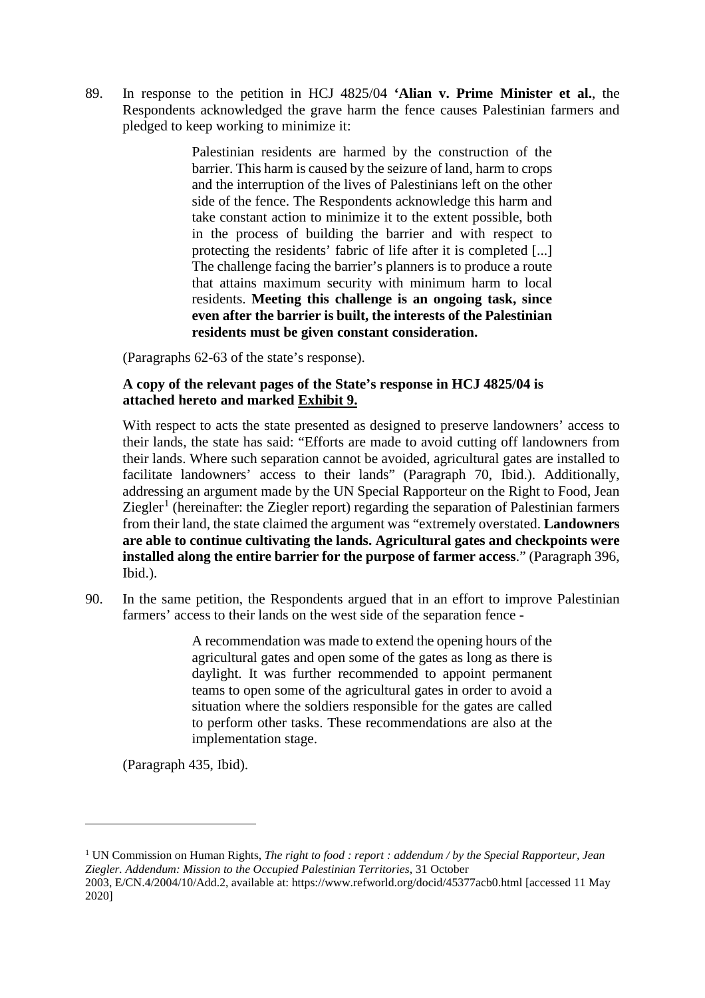89. In response to the petition in HCJ 4825/04 **'Alian v. Prime Minister et al.**, the Respondents acknowledged the grave harm the fence causes Palestinian farmers and pledged to keep working to minimize it:

> Palestinian residents are harmed by the construction of the barrier. This harm is caused by the seizure of land, harm to crops and the interruption of the lives of Palestinians left on the other side of the fence. The Respondents acknowledge this harm and take constant action to minimize it to the extent possible, both in the process of building the barrier and with respect to protecting the residents' fabric of life after it is completed [...] The challenge facing the barrier's planners is to produce a route that attains maximum security with minimum harm to local residents. **Meeting this challenge is an ongoing task, since even after the barrier is built, the interests of the Palestinian residents must be given constant consideration.**

(Paragraphs 62-63 of the state's response).

#### **A copy of the relevant pages of the State's response in HCJ 4825/04 is attached hereto and marked Exhibit 9.**

With respect to acts the state presented as designed to preserve landowners' access to their lands, the state has said: "Efforts are made to avoid cutting off landowners from their lands. Where such separation cannot be avoided, agricultural gates are installed to facilitate landowners' access to their lands" (Paragraph 70, Ibid.). Additionally, addressing an argument made by the UN Special Rapporteur on the Right to Food, Jean Ziegler<sup>[1](#page-17-0)</sup> (hereinafter: the Ziegler report) regarding the separation of Palestinian farmers from their land, the state claimed the argument was "extremely overstated. **Landowners are able to continue cultivating the lands. Agricultural gates and checkpoints were installed along the entire barrier for the purpose of farmer access**." (Paragraph 396, Ibid.).

90. In the same petition, the Respondents argued that in an effort to improve Palestinian farmers' access to their lands on the west side of the separation fence -

> A recommendation was made to extend the opening hours of the agricultural gates and open some of the gates as long as there is daylight. It was further recommended to appoint permanent teams to open some of the agricultural gates in order to avoid a situation where the soldiers responsible for the gates are called to perform other tasks. These recommendations are also at the implementation stage.

(Paragraph 435, Ibid).

 $\overline{a}$ 

<span id="page-17-0"></span><sup>1</sup> UN Commission on Human Rights, *The right to food : report : addendum / by the Special Rapporteur, Jean Ziegler. Addendum: Mission to the Occupied Palestinian Territories*, 31 October

<sup>2003,</sup> E/CN.4/2004/10/Add.2, available at: https://www.refworld.org/docid/45377acb0.html [accessed 11 May 2020]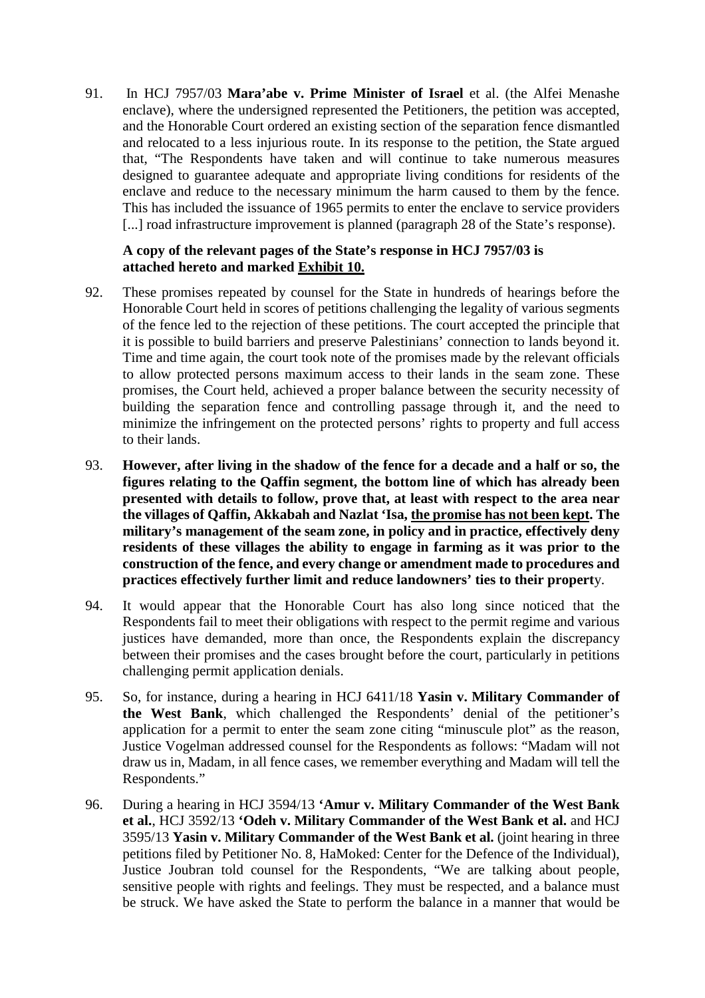91. In HCJ 7957/03 **Mara'abe v. Prime Minister of Israel** et al. (the Alfei Menashe enclave), where the undersigned represented the Petitioners, the petition was accepted, and the Honorable Court ordered an existing section of the separation fence dismantled and relocated to a less injurious route. In its response to the petition, the State argued that, "The Respondents have taken and will continue to take numerous measures designed to guarantee adequate and appropriate living conditions for residents of the enclave and reduce to the necessary minimum the harm caused to them by the fence. This has included the issuance of 1965 permits to enter the enclave to service providers [...] road infrastructure improvement is planned (paragraph 28 of the State's response).

#### **A copy of the relevant pages of the State's response in HCJ 7957/03 is attached hereto and marked Exhibit 10.**

- 92. These promises repeated by counsel for the State in hundreds of hearings before the Honorable Court held in scores of petitions challenging the legality of various segments of the fence led to the rejection of these petitions. The court accepted the principle that it is possible to build barriers and preserve Palestinians' connection to lands beyond it. Time and time again, the court took note of the promises made by the relevant officials to allow protected persons maximum access to their lands in the seam zone. These promises, the Court held, achieved a proper balance between the security necessity of building the separation fence and controlling passage through it, and the need to minimize the infringement on the protected persons' rights to property and full access to their lands.
- 93. **However, after living in the shadow of the fence for a decade and a half or so, the figures relating to the Qaffin segment, the bottom line of which has already been presented with details to follow, prove that, at least with respect to the area near the villages of Qaffin, Akkabah and Nazlat 'Isa, the promise has not been kept. The military's management of the seam zone, in policy and in practice, effectively deny residents of these villages the ability to engage in farming as it was prior to the construction of the fence, and every change or amendment made to procedures and practices effectively further limit and reduce landowners' ties to their propert**y.
- 94. It would appear that the Honorable Court has also long since noticed that the Respondents fail to meet their obligations with respect to the permit regime and various justices have demanded, more than once, the Respondents explain the discrepancy between their promises and the cases brought before the court, particularly in petitions challenging permit application denials.
- 95. So, for instance, during a hearing in HCJ 6411/18 **Yasin v. Military Commander of the West Bank**, which challenged the Respondents' denial of the petitioner's application for a permit to enter the seam zone citing "minuscule plot" as the reason, Justice Vogelman addressed counsel for the Respondents as follows: "Madam will not draw us in, Madam, in all fence cases, we remember everything and Madam will tell the Respondents."
- 96. During a hearing in HCJ 3594/13 **'Amur v. Military Commander of the West Bank et al.**, HCJ 3592/13 **'Odeh v. Military Commander of the West Bank et al.** and HCJ 3595/13 **Yasin v. Military Commander of the West Bank et al.** (joint hearing in three petitions filed by Petitioner No. 8, HaMoked: Center for the Defence of the Individual), Justice Joubran told counsel for the Respondents, "We are talking about people, sensitive people with rights and feelings. They must be respected, and a balance must be struck. We have asked the State to perform the balance in a manner that would be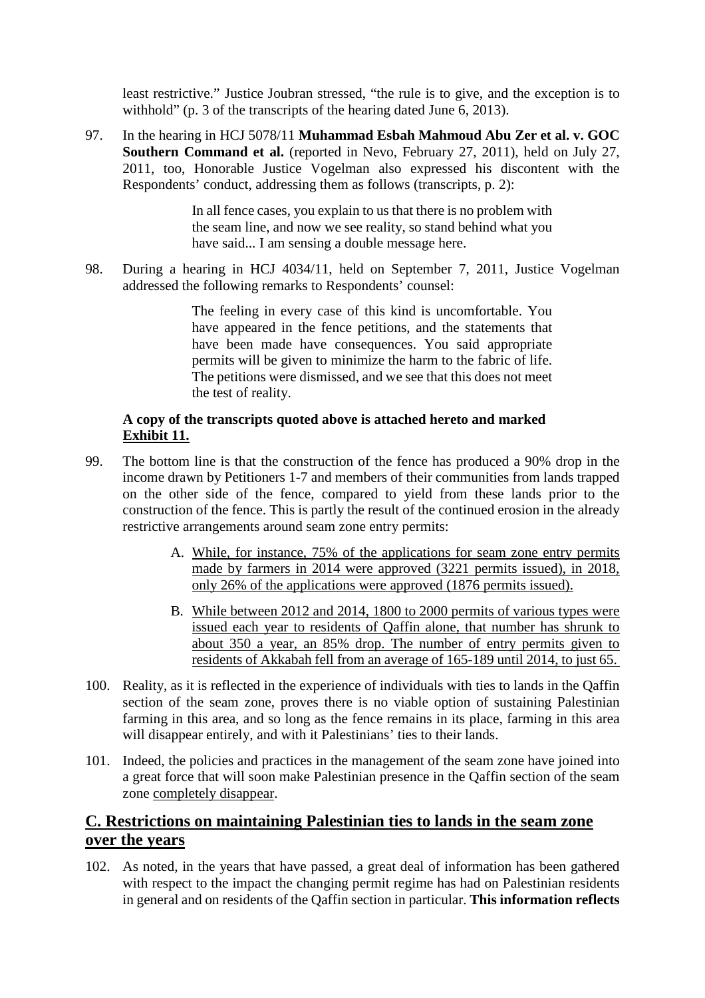least restrictive." Justice Joubran stressed, "the rule is to give, and the exception is to withhold" (p. 3 of the transcripts of the hearing dated June 6, 2013).

97. In the hearing in HCJ 5078/11 **Muhammad Esbah Mahmoud Abu Zer et al. v. GOC Southern Command et al.** (reported in Nevo, February 27, 2011), held on July 27, 2011, too, Honorable Justice Vogelman also expressed his discontent with the Respondents' conduct, addressing them as follows (transcripts, p. 2):

> In all fence cases, you explain to us that there is no problem with the seam line, and now we see reality, so stand behind what you have said... I am sensing a double message here.

98. During a hearing in HCJ 4034/11, held on September 7, 2011, Justice Vogelman addressed the following remarks to Respondents' counsel:

> The feeling in every case of this kind is uncomfortable. You have appeared in the fence petitions, and the statements that have been made have consequences. You said appropriate permits will be given to minimize the harm to the fabric of life. The petitions were dismissed, and we see that this does not meet the test of reality.

#### **A copy of the transcripts quoted above is attached hereto and marked Exhibit 11.**

- 99. The bottom line is that the construction of the fence has produced a 90% drop in the income drawn by Petitioners 1-7 and members of their communities from lands trapped on the other side of the fence, compared to yield from these lands prior to the construction of the fence. This is partly the result of the continued erosion in the already restrictive arrangements around seam zone entry permits:
	- A. While, for instance, 75% of the applications for seam zone entry permits made by farmers in 2014 were approved (3221 permits issued), in 2018, only 26% of the applications were approved (1876 permits issued).
	- B. While between 2012 and 2014, 1800 to 2000 permits of various types were issued each year to residents of Qaffin alone, that number has shrunk to about 350 a year, an 85% drop. The number of entry permits given to residents of Akkabah fell from an average of 165-189 until 2014, to just 65.
- 100. Reality, as it is reflected in the experience of individuals with ties to lands in the Qaffin section of the seam zone, proves there is no viable option of sustaining Palestinian farming in this area, and so long as the fence remains in its place, farming in this area will disappear entirely, and with it Palestinians' ties to their lands.
- 101. Indeed, the policies and practices in the management of the seam zone have joined into a great force that will soon make Palestinian presence in the Qaffin section of the seam zone completely disappear.

### **C. Restrictions on maintaining Palestinian ties to lands in the seam zone over the years**

102. As noted, in the years that have passed, a great deal of information has been gathered with respect to the impact the changing permit regime has had on Palestinian residents in general and on residents of the Qaffin section in particular. **This information reflects**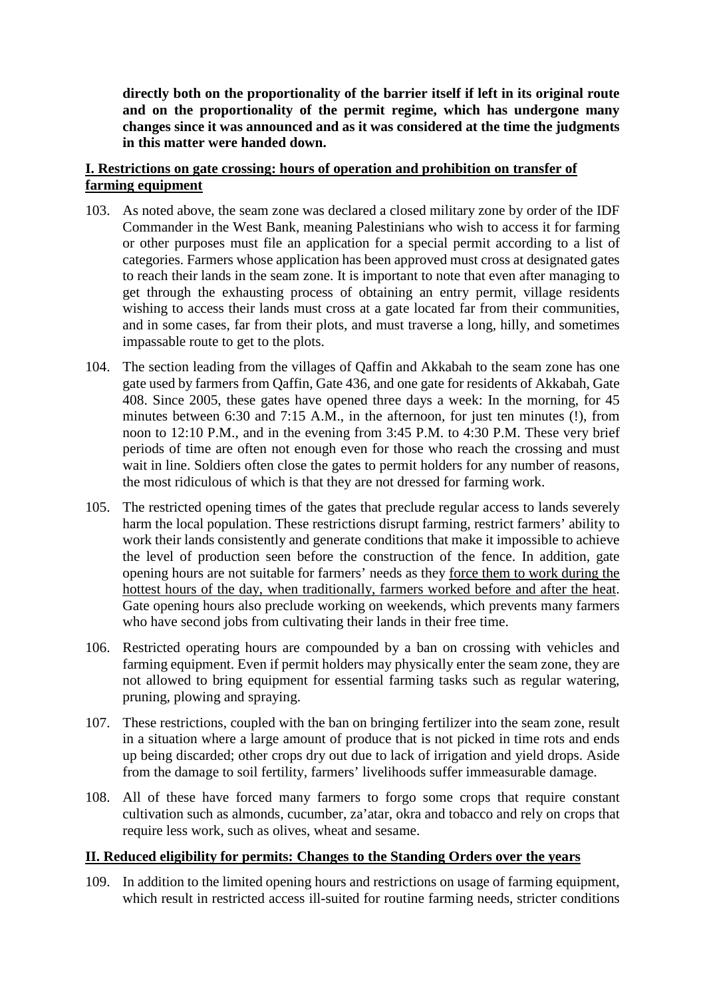**directly both on the proportionality of the barrier itself if left in its original route and on the proportionality of the permit regime, which has undergone many changes since it was announced and as it was considered at the time the judgments in this matter were handed down.**

#### **I. Restrictions on gate crossing: hours of operation and prohibition on transfer of farming equipment**

- 103. As noted above, the seam zone was declared a closed military zone by order of the IDF Commander in the West Bank, meaning Palestinians who wish to access it for farming or other purposes must file an application for a special permit according to a list of categories. Farmers whose application has been approved must cross at designated gates to reach their lands in the seam zone. It is important to note that even after managing to get through the exhausting process of obtaining an entry permit, village residents wishing to access their lands must cross at a gate located far from their communities, and in some cases, far from their plots, and must traverse a long, hilly, and sometimes impassable route to get to the plots.
- 104. The section leading from the villages of Qaffin and Akkabah to the seam zone has one gate used by farmers from Qaffin, Gate 436, and one gate for residents of Akkabah, Gate 408. Since 2005, these gates have opened three days a week: In the morning, for 45 minutes between 6:30 and 7:15 A.M., in the afternoon, for just ten minutes (!), from noon to 12:10 P.M., and in the evening from 3:45 P.M. to 4:30 P.M. These very brief periods of time are often not enough even for those who reach the crossing and must wait in line. Soldiers often close the gates to permit holders for any number of reasons, the most ridiculous of which is that they are not dressed for farming work.
- 105. The restricted opening times of the gates that preclude regular access to lands severely harm the local population. These restrictions disrupt farming, restrict farmers' ability to work their lands consistently and generate conditions that make it impossible to achieve the level of production seen before the construction of the fence. In addition, gate opening hours are not suitable for farmers' needs as they force them to work during the hottest hours of the day, when traditionally, farmers worked before and after the heat. Gate opening hours also preclude working on weekends, which prevents many farmers who have second jobs from cultivating their lands in their free time.
- 106. Restricted operating hours are compounded by a ban on crossing with vehicles and farming equipment. Even if permit holders may physically enter the seam zone, they are not allowed to bring equipment for essential farming tasks such as regular watering, pruning, plowing and spraying.
- 107. These restrictions, coupled with the ban on bringing fertilizer into the seam zone, result in a situation where a large amount of produce that is not picked in time rots and ends up being discarded; other crops dry out due to lack of irrigation and yield drops. Aside from the damage to soil fertility, farmers' livelihoods suffer immeasurable damage.
- 108. All of these have forced many farmers to forgo some crops that require constant cultivation such as almonds, cucumber, za'atar, okra and tobacco and rely on crops that require less work, such as olives, wheat and sesame.

#### **II. Reduced eligibility for permits: Changes to the Standing Orders over the years**

109. In addition to the limited opening hours and restrictions on usage of farming equipment, which result in restricted access ill-suited for routine farming needs, stricter conditions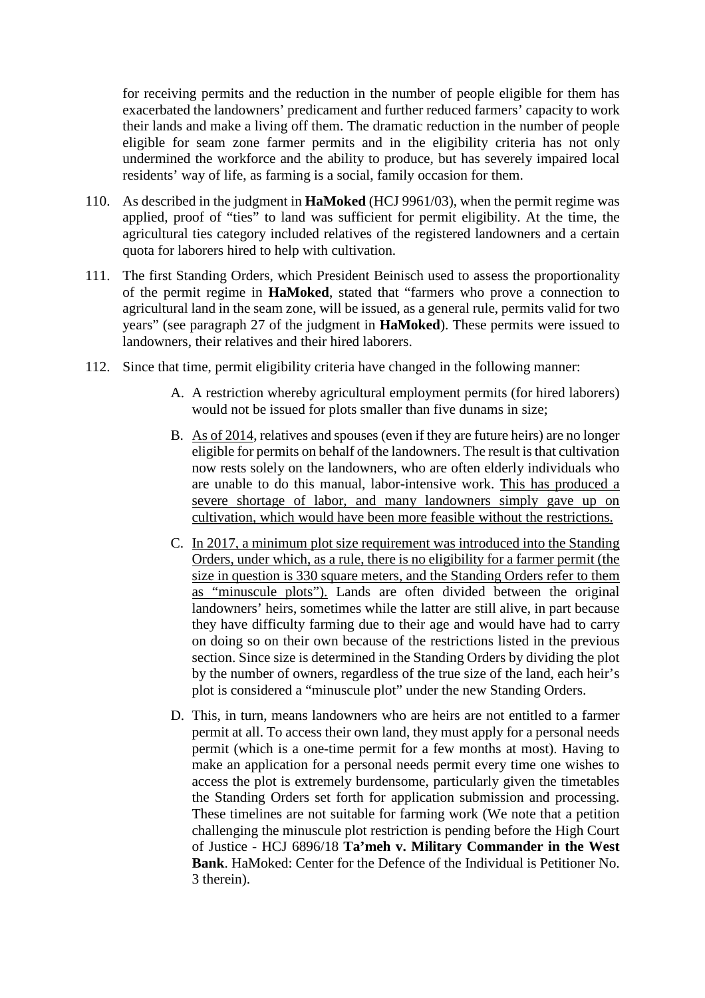for receiving permits and the reduction in the number of people eligible for them has exacerbated the landowners' predicament and further reduced farmers' capacity to work their lands and make a living off them. The dramatic reduction in the number of people eligible for seam zone farmer permits and in the eligibility criteria has not only undermined the workforce and the ability to produce, but has severely impaired local residents' way of life, as farming is a social, family occasion for them.

- 110. As described in the judgment in **HaMoked** (HCJ 9961/03), when the permit regime was applied, proof of "ties" to land was sufficient for permit eligibility. At the time, the agricultural ties category included relatives of the registered landowners and a certain quota for laborers hired to help with cultivation.
- 111. The first Standing Orders, which President Beinisch used to assess the proportionality of the permit regime in **HaMoked**, stated that "farmers who prove a connection to agricultural land in the seam zone, will be issued, as a general rule, permits valid for two years" (see paragraph 27 of the judgment in **HaMoked**). These permits were issued to landowners, their relatives and their hired laborers.
- 112. Since that time, permit eligibility criteria have changed in the following manner:
	- A. A restriction whereby agricultural employment permits (for hired laborers) would not be issued for plots smaller than five dunams in size;
	- B. As of 2014, relatives and spouses (even if they are future heirs) are no longer eligible for permits on behalf of the landowners. The result is that cultivation now rests solely on the landowners, who are often elderly individuals who are unable to do this manual, labor-intensive work. This has produced a severe shortage of labor, and many landowners simply gave up on cultivation, which would have been more feasible without the restrictions.
	- C. In 2017, a minimum plot size requirement was introduced into the Standing Orders, under which, as a rule, there is no eligibility for a farmer permit (the size in question is 330 square meters, and the Standing Orders refer to them as "minuscule plots"). Lands are often divided between the original landowners' heirs, sometimes while the latter are still alive, in part because they have difficulty farming due to their age and would have had to carry on doing so on their own because of the restrictions listed in the previous section. Since size is determined in the Standing Orders by dividing the plot by the number of owners, regardless of the true size of the land, each heir's plot is considered a "minuscule plot" under the new Standing Orders.
	- D. This, in turn, means landowners who are heirs are not entitled to a farmer permit at all. To access their own land, they must apply for a personal needs permit (which is a one-time permit for a few months at most). Having to make an application for a personal needs permit every time one wishes to access the plot is extremely burdensome, particularly given the timetables the Standing Orders set forth for application submission and processing. These timelines are not suitable for farming work (We note that a petition challenging the minuscule plot restriction is pending before the High Court of Justice - HCJ 6896/18 **Ta'meh v. Military Commander in the West Bank**. HaMoked: Center for the Defence of the Individual is Petitioner No. 3 therein).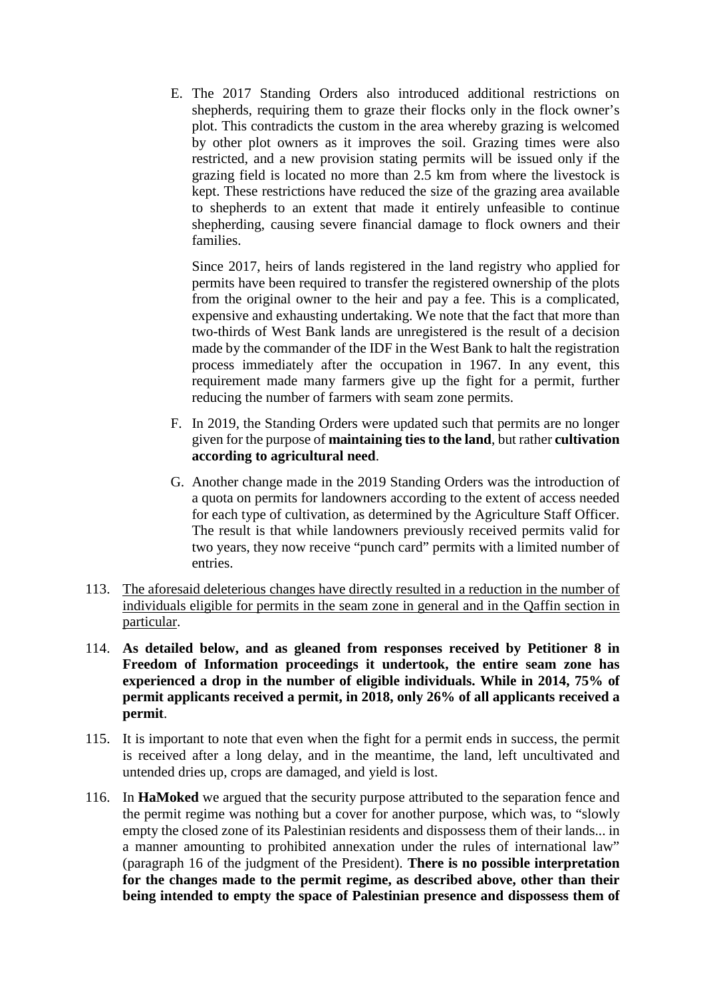E. The 2017 Standing Orders also introduced additional restrictions on shepherds, requiring them to graze their flocks only in the flock owner's plot. This contradicts the custom in the area whereby grazing is welcomed by other plot owners as it improves the soil. Grazing times were also restricted, and a new provision stating permits will be issued only if the grazing field is located no more than 2.5 km from where the livestock is kept. These restrictions have reduced the size of the grazing area available to shepherds to an extent that made it entirely unfeasible to continue shepherding, causing severe financial damage to flock owners and their families.

Since 2017, heirs of lands registered in the land registry who applied for permits have been required to transfer the registered ownership of the plots from the original owner to the heir and pay a fee. This is a complicated, expensive and exhausting undertaking. We note that the fact that more than two-thirds of West Bank lands are unregistered is the result of a decision made by the commander of the IDF in the West Bank to halt the registration process immediately after the occupation in 1967. In any event, this requirement made many farmers give up the fight for a permit, further reducing the number of farmers with seam zone permits.

- F. In 2019, the Standing Orders were updated such that permits are no longer given for the purpose of **maintaining ties to the land**, but rather **cultivation according to agricultural need**.
- G. Another change made in the 2019 Standing Orders was the introduction of a quota on permits for landowners according to the extent of access needed for each type of cultivation, as determined by the Agriculture Staff Officer. The result is that while landowners previously received permits valid for two years, they now receive "punch card" permits with a limited number of entries.
- 113. The aforesaid deleterious changes have directly resulted in a reduction in the number of individuals eligible for permits in the seam zone in general and in the Qaffin section in particular.
- 114. **As detailed below, and as gleaned from responses received by Petitioner 8 in Freedom of Information proceedings it undertook, the entire seam zone has experienced a drop in the number of eligible individuals. While in 2014, 75% of permit applicants received a permit, in 2018, only 26% of all applicants received a permit**.
- 115. It is important to note that even when the fight for a permit ends in success, the permit is received after a long delay, and in the meantime, the land, left uncultivated and untended dries up, crops are damaged, and yield is lost.
- 116. In **HaMoked** we argued that the security purpose attributed to the separation fence and the permit regime was nothing but a cover for another purpose, which was, to "slowly empty the closed zone of its Palestinian residents and dispossess them of their lands... in a manner amounting to prohibited annexation under the rules of international law" (paragraph 16 of the judgment of the President). **There is no possible interpretation for the changes made to the permit regime, as described above, other than their being intended to empty the space of Palestinian presence and dispossess them of**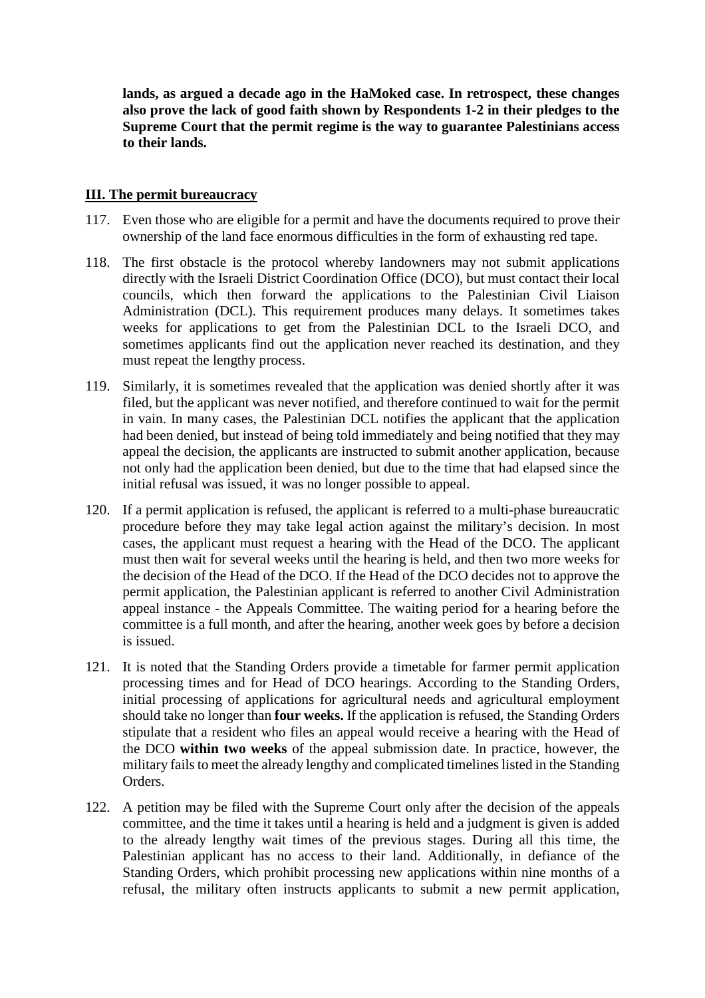**lands, as argued a decade ago in the HaMoked case. In retrospect, these changes also prove the lack of good faith shown by Respondents 1-2 in their pledges to the Supreme Court that the permit regime is the way to guarantee Palestinians access to their lands.**

#### **III. The permit bureaucracy**

- 117. Even those who are eligible for a permit and have the documents required to prove their ownership of the land face enormous difficulties in the form of exhausting red tape.
- 118. The first obstacle is the protocol whereby landowners may not submit applications directly with the Israeli District Coordination Office (DCO), but must contact their local councils, which then forward the applications to the Palestinian Civil Liaison Administration (DCL). This requirement produces many delays. It sometimes takes weeks for applications to get from the Palestinian DCL to the Israeli DCO, and sometimes applicants find out the application never reached its destination, and they must repeat the lengthy process.
- 119. Similarly, it is sometimes revealed that the application was denied shortly after it was filed, but the applicant was never notified, and therefore continued to wait for the permit in vain. In many cases, the Palestinian DCL notifies the applicant that the application had been denied, but instead of being told immediately and being notified that they may appeal the decision, the applicants are instructed to submit another application, because not only had the application been denied, but due to the time that had elapsed since the initial refusal was issued, it was no longer possible to appeal.
- 120. If a permit application is refused, the applicant is referred to a multi-phase bureaucratic procedure before they may take legal action against the military's decision. In most cases, the applicant must request a hearing with the Head of the DCO. The applicant must then wait for several weeks until the hearing is held, and then two more weeks for the decision of the Head of the DCO. If the Head of the DCO decides not to approve the permit application, the Palestinian applicant is referred to another Civil Administration appeal instance - the Appeals Committee. The waiting period for a hearing before the committee is a full month, and after the hearing, another week goes by before a decision is issued.
- 121. It is noted that the Standing Orders provide a timetable for farmer permit application processing times and for Head of DCO hearings. According to the Standing Orders, initial processing of applications for agricultural needs and agricultural employment should take no longer than **four weeks.** If the application is refused, the Standing Orders stipulate that a resident who files an appeal would receive a hearing with the Head of the DCO **within two weeks** of the appeal submission date. In practice, however, the military fails to meet the already lengthy and complicated timelines listed in the Standing Orders.
- 122. A petition may be filed with the Supreme Court only after the decision of the appeals committee, and the time it takes until a hearing is held and a judgment is given is added to the already lengthy wait times of the previous stages. During all this time, the Palestinian applicant has no access to their land. Additionally, in defiance of the Standing Orders, which prohibit processing new applications within nine months of a refusal, the military often instructs applicants to submit a new permit application,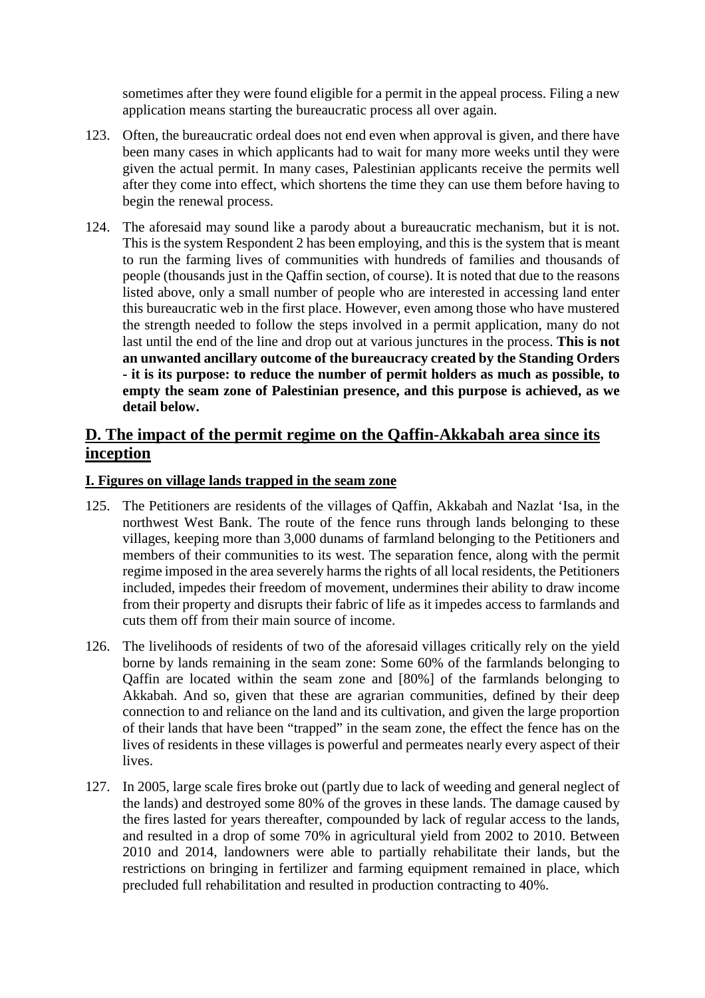sometimes after they were found eligible for a permit in the appeal process. Filing a new application means starting the bureaucratic process all over again.

- 123. Often, the bureaucratic ordeal does not end even when approval is given, and there have been many cases in which applicants had to wait for many more weeks until they were given the actual permit. In many cases, Palestinian applicants receive the permits well after they come into effect, which shortens the time they can use them before having to begin the renewal process.
- 124. The aforesaid may sound like a parody about a bureaucratic mechanism, but it is not. This is the system Respondent 2 has been employing, and this is the system that is meant to run the farming lives of communities with hundreds of families and thousands of people (thousands just in the Qaffin section, of course). It is noted that due to the reasons listed above, only a small number of people who are interested in accessing land enter this bureaucratic web in the first place. However, even among those who have mustered the strength needed to follow the steps involved in a permit application, many do not last until the end of the line and drop out at various junctures in the process. **This is not an unwanted ancillary outcome of the bureaucracy created by the Standing Orders - it is its purpose: to reduce the number of permit holders as much as possible, to empty the seam zone of Palestinian presence, and this purpose is achieved, as we detail below.**

## **D. The impact of the permit regime on the Qaffin-Akkabah area since its inception**

#### **I. Figures on village lands trapped in the seam zone**

- 125. The Petitioners are residents of the villages of Qaffin, Akkabah and Nazlat 'Isa, in the northwest West Bank. The route of the fence runs through lands belonging to these villages, keeping more than 3,000 dunams of farmland belonging to the Petitioners and members of their communities to its west. The separation fence, along with the permit regime imposed in the area severely harms the rights of all local residents, the Petitioners included, impedes their freedom of movement, undermines their ability to draw income from their property and disrupts their fabric of life as it impedes access to farmlands and cuts them off from their main source of income.
- 126. The livelihoods of residents of two of the aforesaid villages critically rely on the yield borne by lands remaining in the seam zone: Some 60% of the farmlands belonging to Qaffin are located within the seam zone and [80%] of the farmlands belonging to Akkabah. And so, given that these are agrarian communities, defined by their deep connection to and reliance on the land and its cultivation, and given the large proportion of their lands that have been "trapped" in the seam zone, the effect the fence has on the lives of residents in these villages is powerful and permeates nearly every aspect of their lives.
- 127. In 2005, large scale fires broke out (partly due to lack of weeding and general neglect of the lands) and destroyed some 80% of the groves in these lands. The damage caused by the fires lasted for years thereafter, compounded by lack of regular access to the lands, and resulted in a drop of some 70% in agricultural yield from 2002 to 2010. Between 2010 and 2014, landowners were able to partially rehabilitate their lands, but the restrictions on bringing in fertilizer and farming equipment remained in place, which precluded full rehabilitation and resulted in production contracting to 40%.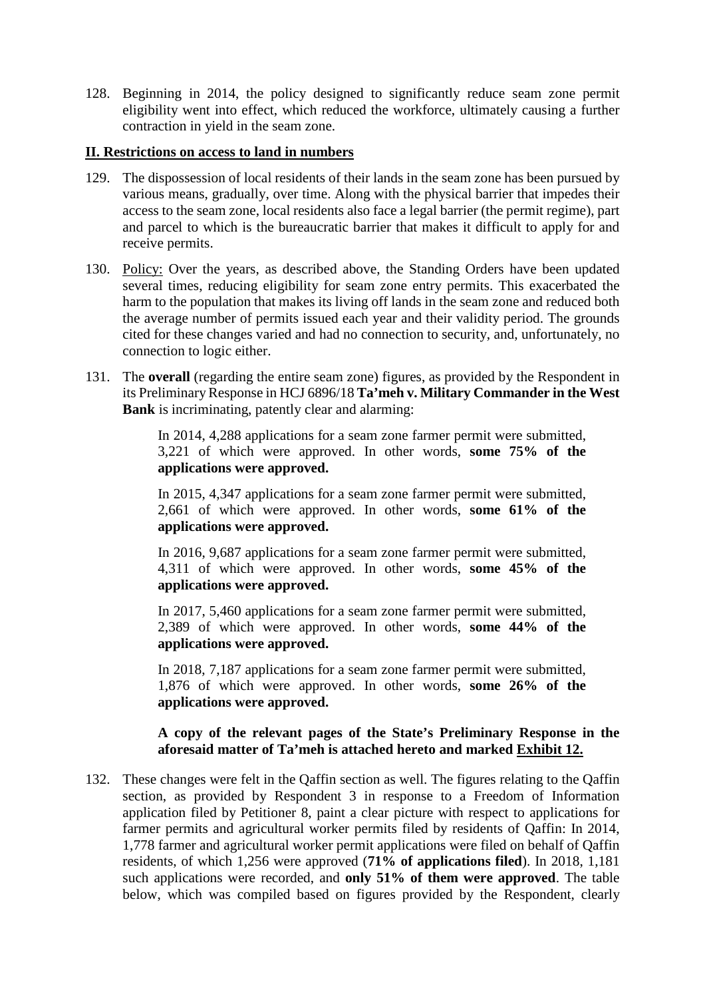128. Beginning in 2014, the policy designed to significantly reduce seam zone permit eligibility went into effect, which reduced the workforce, ultimately causing a further contraction in yield in the seam zone.

#### **II. Restrictions on access to land in numbers**

- 129. The dispossession of local residents of their lands in the seam zone has been pursued by various means, gradually, over time. Along with the physical barrier that impedes their access to the seam zone, local residents also face a legal barrier (the permit regime), part and parcel to which is the bureaucratic barrier that makes it difficult to apply for and receive permits.
- 130. Policy: Over the years, as described above, the Standing Orders have been updated several times, reducing eligibility for seam zone entry permits. This exacerbated the harm to the population that makes its living off lands in the seam zone and reduced both the average number of permits issued each year and their validity period. The grounds cited for these changes varied and had no connection to security, and, unfortunately, no connection to logic either.
- 131. The **overall** (regarding the entire seam zone) figures, as provided by the Respondent in its Preliminary Response in HCJ 6896/18 **Ta'meh v. Military Commander in the West Bank** is incriminating, patently clear and alarming:

In 2014, 4,288 applications for a seam zone farmer permit were submitted, 3,221 of which were approved. In other words, **some 75% of the applications were approved.**

In 2015, 4,347 applications for a seam zone farmer permit were submitted, 2,661 of which were approved. In other words, **some 61% of the applications were approved.**

In 2016, 9,687 applications for a seam zone farmer permit were submitted, 4,311 of which were approved. In other words, **some 45% of the applications were approved.**

In 2017, 5,460 applications for a seam zone farmer permit were submitted, 2,389 of which were approved. In other words, **some 44% of the applications were approved.**

In 2018, 7,187 applications for a seam zone farmer permit were submitted, 1,876 of which were approved. In other words, **some 26% of the applications were approved.**

#### **A copy of the relevant pages of the State's Preliminary Response in the aforesaid matter of Ta'meh is attached hereto and marked Exhibit 12.**

132. These changes were felt in the Qaffin section as well. The figures relating to the Qaffin section, as provided by Respondent 3 in response to a Freedom of Information application filed by Petitioner 8, paint a clear picture with respect to applications for farmer permits and agricultural worker permits filed by residents of Qaffin: In 2014, 1,778 farmer and agricultural worker permit applications were filed on behalf of Qaffin residents, of which 1,256 were approved (**71% of applications filed**). In 2018, 1,181 such applications were recorded, and **only 51% of them were approved**. The table below, which was compiled based on figures provided by the Respondent, clearly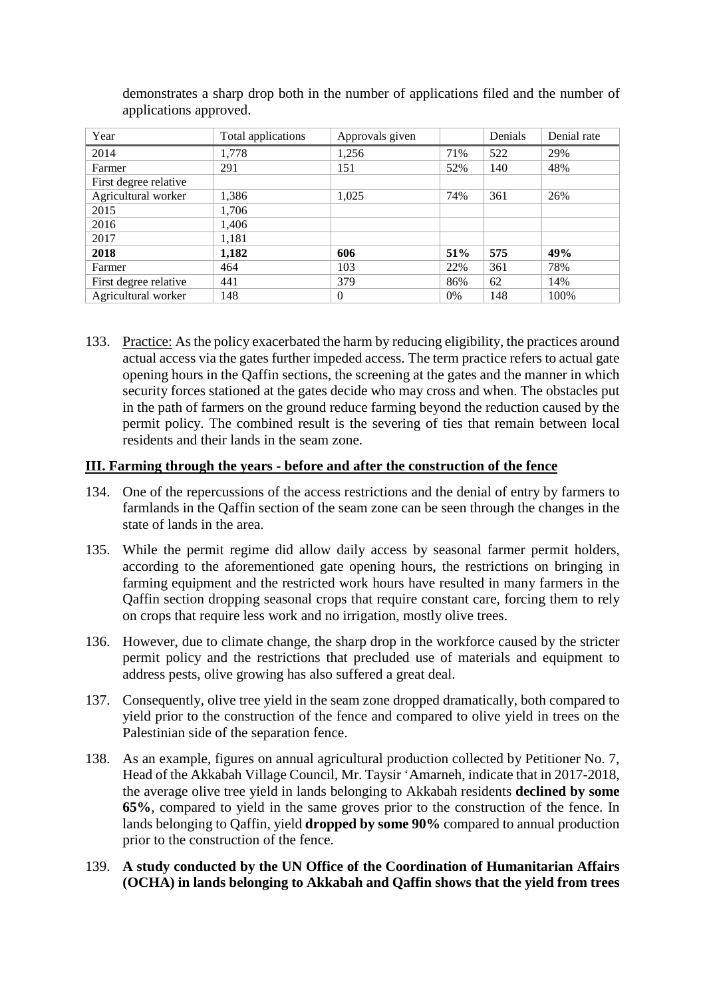| Year                  | Total applications | Approvals given |     | Denials | Denial rate |
|-----------------------|--------------------|-----------------|-----|---------|-------------|
| 2014                  | 1,778              | 1,256           | 71% | 522     | 29%         |
| Farmer                | 291                | 151             | 52% | 140     | 48%         |
| First degree relative |                    |                 |     |         |             |
| Agricultural worker   | 1,386              | 1,025           | 74% | 361     | 26%         |
| 2015                  | 1,706              |                 |     |         |             |
| 2016                  | 1,406              |                 |     |         |             |
| 2017                  | 1,181              |                 |     |         |             |
| 2018                  | 1,182              | 606             | 51% | 575     | 49%         |
| Farmer                | 464                | 103             | 22% | 361     | 78%         |
| First degree relative | 441                | 379             | 86% | 62      | 14%         |
| Agricultural worker   | 148                | $\Omega$        | 0%  | 148     | 100%        |

demonstrates a sharp drop both in the number of applications filed and the number of applications approved.

133. Practice: As the policy exacerbated the harm by reducing eligibility, the practices around actual access via the gates further impeded access. The term practice refers to actual gate opening hours in the Qaffin sections, the screening at the gates and the manner in which security forces stationed at the gates decide who may cross and when. The obstacles put in the path of farmers on the ground reduce farming beyond the reduction caused by the permit policy. The combined result is the severing of ties that remain between local residents and their lands in the seam zone.

#### **III. Farming through the years - before and after the construction of the fence**

- 134. One of the repercussions of the access restrictions and the denial of entry by farmers to farmlands in the Qaffin section of the seam zone can be seen through the changes in the state of lands in the area.
- 135. While the permit regime did allow daily access by seasonal farmer permit holders, according to the aforementioned gate opening hours, the restrictions on bringing in farming equipment and the restricted work hours have resulted in many farmers in the Qaffin section dropping seasonal crops that require constant care, forcing them to rely on crops that require less work and no irrigation, mostly olive trees.
- 136. However, due to climate change, the sharp drop in the workforce caused by the stricter permit policy and the restrictions that precluded use of materials and equipment to address pests, olive growing has also suffered a great deal.
- 137. Consequently, olive tree yield in the seam zone dropped dramatically, both compared to yield prior to the construction of the fence and compared to olive yield in trees on the Palestinian side of the separation fence.
- 138. As an example, figures on annual agricultural production collected by Petitioner No. 7, Head of the Akkabah Village Council, Mr. Taysir 'Amarneh, indicate that in 2017-2018, the average olive tree yield in lands belonging to Akkabah residents **declined by some 65%**, compared to yield in the same groves prior to the construction of the fence. In lands belonging to Qaffin, yield **dropped by some 90%** compared to annual production prior to the construction of the fence.
- 139. **A study conducted by the UN Office of the Coordination of Humanitarian Affairs (OCHA) in lands belonging to Akkabah and Qaffin shows that the yield from trees**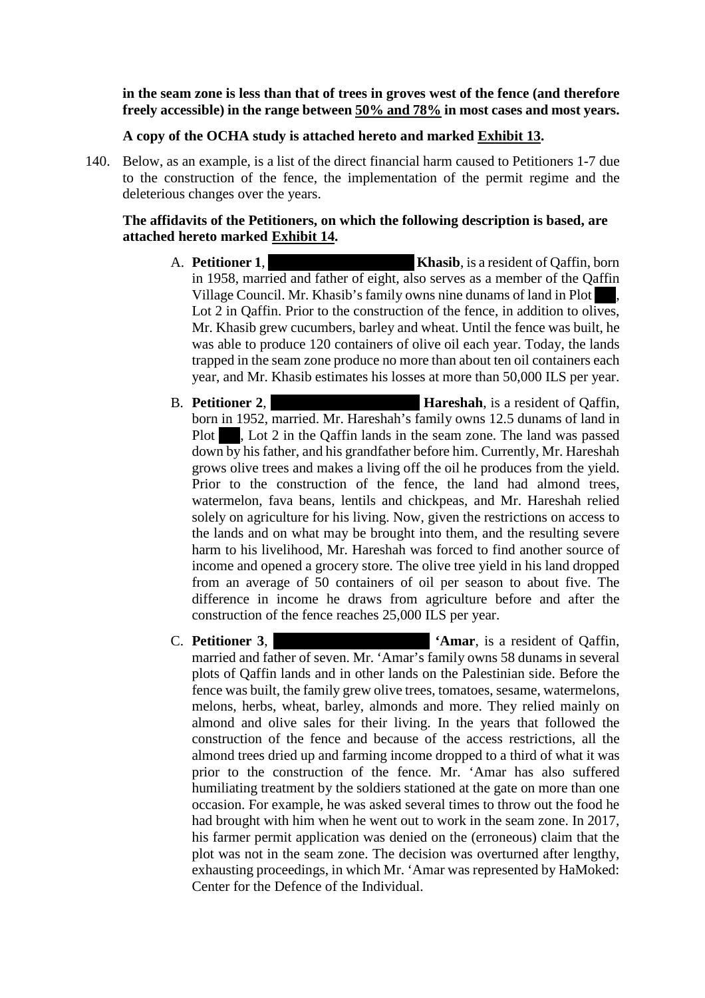#### **in the seam zone is less than that of trees in groves west of the fence (and therefore freely accessible) in the range between 50% and 78% in most cases and most years.**

#### **A copy of the OCHA study is attached hereto and marked Exhibit 13.**

140. Below, as an example, is a list of the direct financial harm caused to Petitioners 1-7 due to the construction of the fence, the implementation of the permit regime and the deleterious changes over the years.

#### **The affidavits of the Petitioners, on which the following description is based, are attached hereto marked Exhibit 14.**

- A. **Petitioner 1**, **Muhammad Shasib**, is a resident of Qaffin, born in 1958, married and father of eight, also serves as a member of the Qaffin Village Council. Mr. Khasib's family owns nine dunams of land in Plot Lot 2 in Qaffin. Prior to the construction of the fence, in addition to olives, Mr. Khasib grew cucumbers, barley and wheat. Until the fence was built, he was able to produce 120 containers of olive oil each year. Today, the lands trapped in the seam zone produce no more than about ten oil containers each year, and Mr. Khasib estimates his losses at more than 50,000 ILS per year.
- **B. Petitioner 2, The Chalen Mahmoud Hareshah**, is a resident of Qaffin, born in 1952, married. Mr. Hareshah's family owns 12.5 dunams of land in Plot  $\blacksquare$ , Lot 2 in the Qaffin lands in the seam zone. The land was passed down by his father, and his grandfather before him. Currently, Mr. Hareshah grows olive trees and makes a living off the oil he produces from the yield. Prior to the construction of the fence, the land had almond trees, watermelon, fava beans, lentils and chickpeas, and Mr. Hareshah relied solely on agriculture for his living. Now, given the restrictions on access to the lands and on what may be brought into them, and the resulting severe harm to his livelihood, Mr. Hareshah was forced to find another source of income and opened a grocery store. The olive tree yield in his land dropped from an average of 50 containers of oil per season to about five. The difference in income he draws from agriculture before and after the construction of the fence reaches 25,000 ILS per year.
- **C. Petitioner 3, <b>Ibrahim Suleiman C. Petitioner 3, <b>Ibrahim Suleiman Khalil Amar**, is a resident of Qaffin, married and father of seven. Mr. 'Amar's family owns 58 dunams in several plots of Qaffin lands and in other lands on the Palestinian side. Before the fence was built, the family grew olive trees, tomatoes, sesame, watermelons, melons, herbs, wheat, barley, almonds and more. They relied mainly on almond and olive sales for their living. In the years that followed the construction of the fence and because of the access restrictions, all the almond trees dried up and farming income dropped to a third of what it was prior to the construction of the fence. Mr. 'Amar has also suffered humiliating treatment by the soldiers stationed at the gate on more than one occasion. For example, he was asked several times to throw out the food he had brought with him when he went out to work in the seam zone. In 2017, his farmer permit application was denied on the (erroneous) claim that the plot was not in the seam zone. The decision was overturned after lengthy, exhausting proceedings, in which Mr. 'Amar was represented by HaMoked: Center for the Defence of the Individual.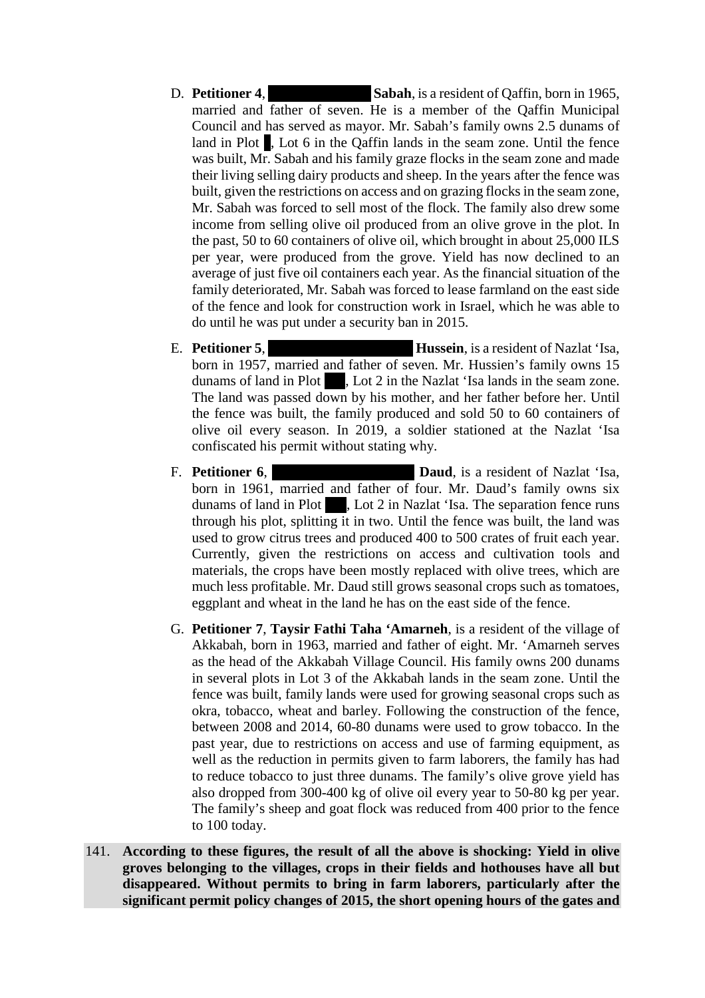- D. **Petitioner 4, Sabah**, is a resident of Qaffin, born in 1965, married and father of seven. He is a member of the Qaffin Municipal Council and has served as mayor. Mr. Sabah's family owns 2.5 dunams of land in Plot 1, Lot 6 in the Qaffin lands in the seam zone. Until the fence was built, Mr. Sabah and his family graze flocks in the seam zone and made their living selling dairy products and sheep. In the years after the fence was built, given the restrictions on access and on grazing flocks in the seam zone, Mr. Sabah was forced to sell most of the flock. The family also drew some income from selling olive oil produced from an olive grove in the plot. In the past, 50 to 60 containers of olive oil, which brought in about 25,000 ILS per year, were produced from the grove. Yield has now declined to an average of just five oil containers each year. As the financial situation of the family deteriorated, Mr. Sabah was forced to lease farmland on the east side of the fence and look for construction work in Israel, which he was able to do until he was put under a security ban in 2015.
- E. **Petitioner 5**, **Subhammador is a Fundal Hussein**, is a resident of Nazlat 'Isa, born in 1957, married and father of seven. Mr. Hussien's family owns 15 dunams of land in Plot  $\blacksquare$ , Lot 2 in the Nazlat 'Isa lands in the seam zone. The land was passed down by his mother, and her father before her. Until the fence was built, the family produced and sold 50 to 60 containers of olive oil every season. In 2019, a soldier stationed at the Nazlat 'Isa confiscated his permit without stating why.
- F. **Petitioner 6**, **Ahmad al-Rahimad Baud**, is a resident of Nazlat 'Isa, born in 1961, married and father of four. Mr. Daud's family owns six dunams of land in Plot 1. Lot 2 in Nazlat 'Isa. The separation fence runs through his plot, splitting it in two. Until the fence was built, the land was used to grow citrus trees and produced 400 to 500 crates of fruit each year. Currently, given the restrictions on access and cultivation tools and materials, the crops have been mostly replaced with olive trees, which are much less profitable. Mr. Daud still grows seasonal crops such as tomatoes, eggplant and wheat in the land he has on the east side of the fence.
- G. **Petitioner 7**, **Taysir Fathi Taha 'Amarneh**, is a resident of the village of Akkabah, born in 1963, married and father of eight. Mr. 'Amarneh serves as the head of the Akkabah Village Council. His family owns 200 dunams in several plots in Lot 3 of the Akkabah lands in the seam zone. Until the fence was built, family lands were used for growing seasonal crops such as okra, tobacco, wheat and barley. Following the construction of the fence, between 2008 and 2014, 60-80 dunams were used to grow tobacco. In the past year, due to restrictions on access and use of farming equipment, as well as the reduction in permits given to farm laborers, the family has had to reduce tobacco to just three dunams. The family's olive grove yield has also dropped from 300-400 kg of olive oil every year to 50-80 kg per year. The family's sheep and goat flock was reduced from 400 prior to the fence to 100 today.
- 141. **According to these figures, the result of all the above is shocking: Yield in olive groves belonging to the villages, crops in their fields and hothouses have all but disappeared. Without permits to bring in farm laborers, particularly after the significant permit policy changes of 2015, the short opening hours of the gates and**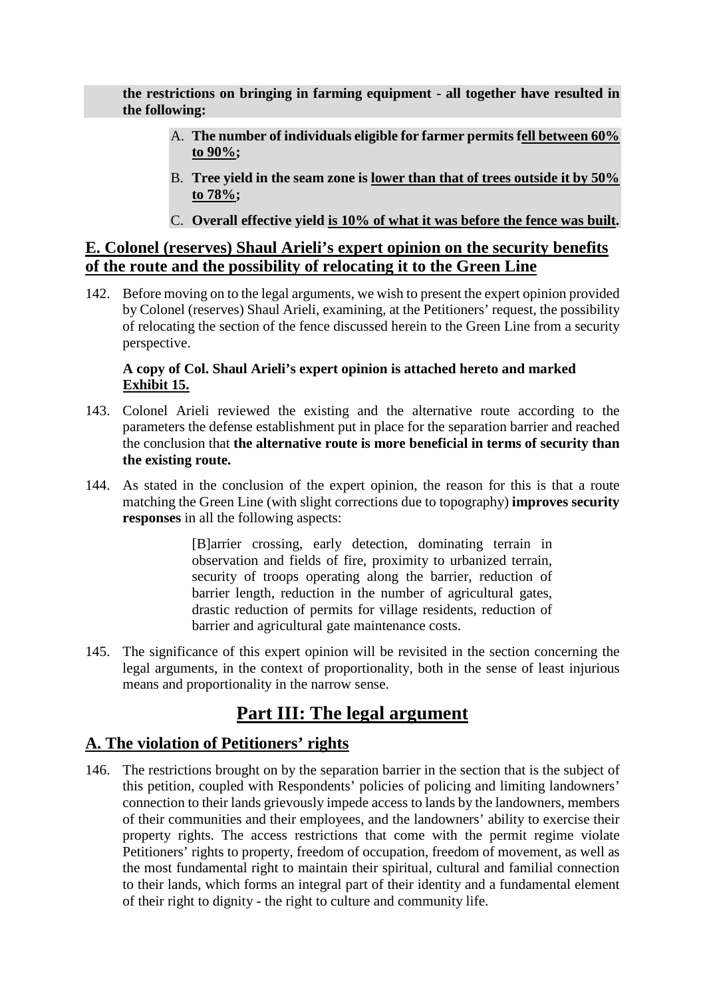**the restrictions on bringing in farming equipment - all together have resulted in the following:** 

- A. **The number of individuals eligible for farmer permits fell between 60% to 90%;**
- B. **Tree yield in the seam zone is lower than that of trees outside it by 50% to 78%;**
- C. **Overall effective yield is 10% of what it was before the fence was built.**

## **E. Colonel (reserves) Shaul Arieli's expert opinion on the security benefits of the route and the possibility of relocating it to the Green Line**

142. Before moving on to the legal arguments, we wish to present the expert opinion provided by Colonel (reserves) Shaul Arieli, examining, at the Petitioners' request, the possibility of relocating the section of the fence discussed herein to the Green Line from a security perspective.

#### **A copy of Col. Shaul Arieli's expert opinion is attached hereto and marked Exhibit 15.**

- 143. Colonel Arieli reviewed the existing and the alternative route according to the parameters the defense establishment put in place for the separation barrier and reached the conclusion that **the alternative route is more beneficial in terms of security than the existing route.**
- 144. As stated in the conclusion of the expert opinion, the reason for this is that a route matching the Green Line (with slight corrections due to topography) **improves security responses** in all the following aspects:

[B]arrier crossing, early detection, dominating terrain in observation and fields of fire, proximity to urbanized terrain, security of troops operating along the barrier, reduction of barrier length, reduction in the number of agricultural gates, drastic reduction of permits for village residents, reduction of barrier and agricultural gate maintenance costs.

145. The significance of this expert opinion will be revisited in the section concerning the legal arguments, in the context of proportionality, both in the sense of least injurious means and proportionality in the narrow sense.

## **Part III: The legal argument**

## **A. The violation of Petitioners' rights**

146. The restrictions brought on by the separation barrier in the section that is the subject of this petition, coupled with Respondents' policies of policing and limiting landowners' connection to their lands grievously impede access to lands by the landowners, members of their communities and their employees, and the landowners' ability to exercise their property rights. The access restrictions that come with the permit regime violate Petitioners' rights to property, freedom of occupation, freedom of movement, as well as the most fundamental right to maintain their spiritual, cultural and familial connection to their lands, which forms an integral part of their identity and a fundamental element of their right to dignity - the right to culture and community life.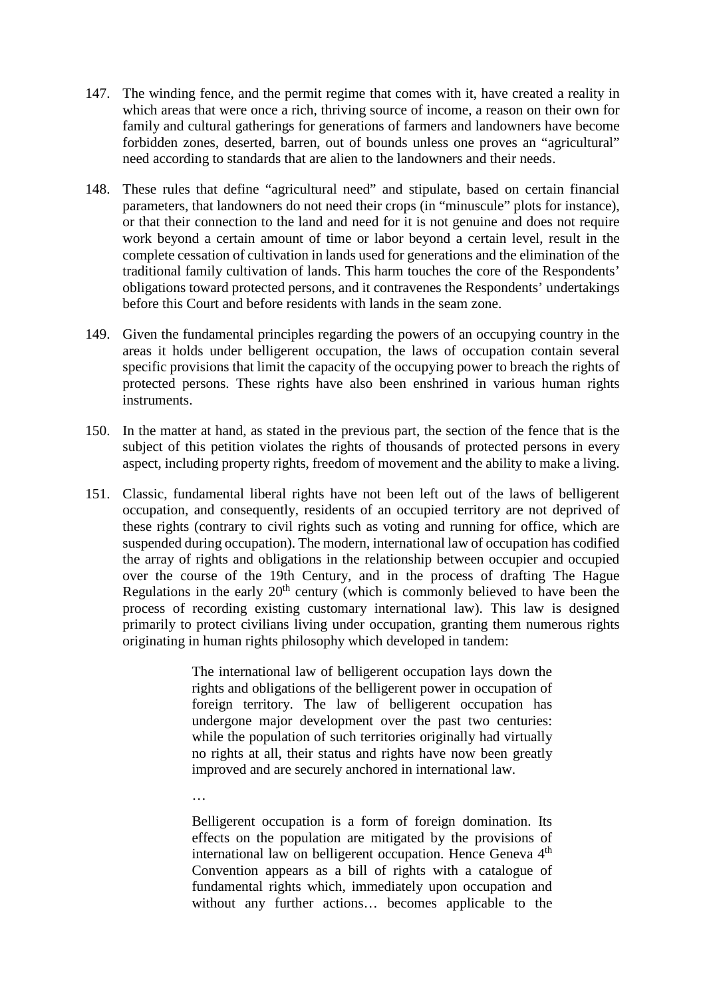- 147. The winding fence, and the permit regime that comes with it, have created a reality in which areas that were once a rich, thriving source of income, a reason on their own for family and cultural gatherings for generations of farmers and landowners have become forbidden zones, deserted, barren, out of bounds unless one proves an "agricultural" need according to standards that are alien to the landowners and their needs.
- 148. These rules that define "agricultural need" and stipulate, based on certain financial parameters, that landowners do not need their crops (in "minuscule" plots for instance), or that their connection to the land and need for it is not genuine and does not require work beyond a certain amount of time or labor beyond a certain level, result in the complete cessation of cultivation in lands used for generations and the elimination of the traditional family cultivation of lands. This harm touches the core of the Respondents' obligations toward protected persons, and it contravenes the Respondents' undertakings before this Court and before residents with lands in the seam zone.
- 149. Given the fundamental principles regarding the powers of an occupying country in the areas it holds under belligerent occupation, the laws of occupation contain several specific provisions that limit the capacity of the occupying power to breach the rights of protected persons. These rights have also been enshrined in various human rights instruments.
- 150. In the matter at hand, as stated in the previous part, the section of the fence that is the subject of this petition violates the rights of thousands of protected persons in every aspect, including property rights, freedom of movement and the ability to make a living.
- 151. Classic, fundamental liberal rights have not been left out of the laws of belligerent occupation, and consequently, residents of an occupied territory are not deprived of these rights (contrary to civil rights such as voting and running for office, which are suspended during occupation). The modern, international law of occupation has codified the array of rights and obligations in the relationship between occupier and occupied over the course of the 19th Century, and in the process of drafting The Hague Regulations in the early  $20<sup>th</sup>$  century (which is commonly believed to have been the process of recording existing customary international law). This law is designed primarily to protect civilians living under occupation, granting them numerous rights originating in human rights philosophy which developed in tandem:

The international law of belligerent occupation lays down the rights and obligations of the belligerent power in occupation of foreign territory. The law of belligerent occupation has undergone major development over the past two centuries: while the population of such territories originally had virtually no rights at all, their status and rights have now been greatly improved and are securely anchored in international law.

Belligerent occupation is a form of foreign domination. Its effects on the population are mitigated by the provisions of international law on belligerent occupation. Hence Geneva 4<sup>th</sup> Convention appears as a bill of rights with a catalogue of fundamental rights which, immediately upon occupation and without any further actions… becomes applicable to the

…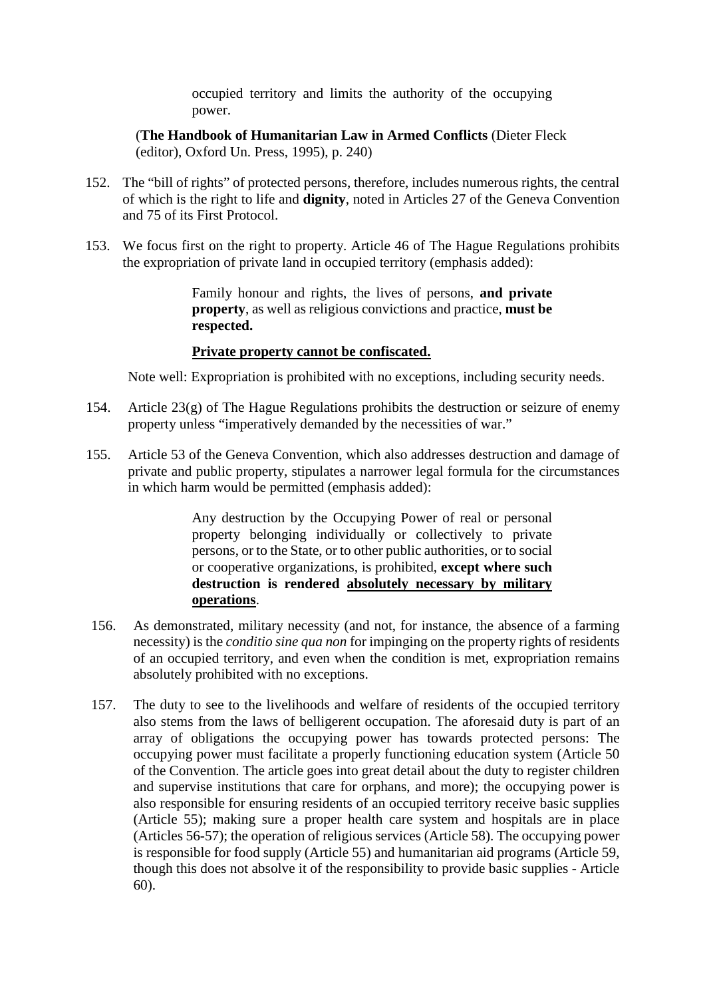occupied territory and limits the authority of the occupying power.

(**The Handbook of Humanitarian Law in Armed Conflicts** (Dieter Fleck (editor), Oxford Un. Press, 1995), p. 240)

- 152. The "bill of rights" of protected persons, therefore, includes numerous rights, the central of which is the right to life and **dignity**, noted in Articles 27 of the Geneva Convention and 75 of its First Protocol.
- 153. We focus first on the right to property. Article 46 of The Hague Regulations prohibits the expropriation of private land in occupied territory (emphasis added):

Family honour and rights, the lives of persons, **and private property**, as well as religious convictions and practice, **must be respected.**

#### **Private property cannot be confiscated.**

Note well: Expropriation is prohibited with no exceptions, including security needs.

- 154. Article 23(g) of The Hague Regulations prohibits the destruction or seizure of enemy property unless "imperatively demanded by the necessities of war."
- 155. Article 53 of the Geneva Convention, which also addresses destruction and damage of private and public property, stipulates a narrower legal formula for the circumstances in which harm would be permitted (emphasis added):

Any destruction by the Occupying Power of real or personal property belonging individually or collectively to private persons, or to the State, or to other public authorities, or to social or cooperative organizations, is prohibited, **except where such destruction is rendered absolutely necessary by military operations**.

- 156. As demonstrated, military necessity (and not, for instance, the absence of a farming necessity) is the *conditio sine qua non* for impinging on the property rights of residents of an occupied territory, and even when the condition is met, expropriation remains absolutely prohibited with no exceptions.
- 157. The duty to see to the livelihoods and welfare of residents of the occupied territory also stems from the laws of belligerent occupation. The aforesaid duty is part of an array of obligations the occupying power has towards protected persons: The occupying power must facilitate a properly functioning education system (Article 50 of the Convention. The article goes into great detail about the duty to register children and supervise institutions that care for orphans, and more); the occupying power is also responsible for ensuring residents of an occupied territory receive basic supplies (Article 55); making sure a proper health care system and hospitals are in place (Articles 56-57); the operation of religious services (Article 58). The occupying power is responsible for food supply (Article 55) and humanitarian aid programs (Article 59, though this does not absolve it of the responsibility to provide basic supplies - Article 60).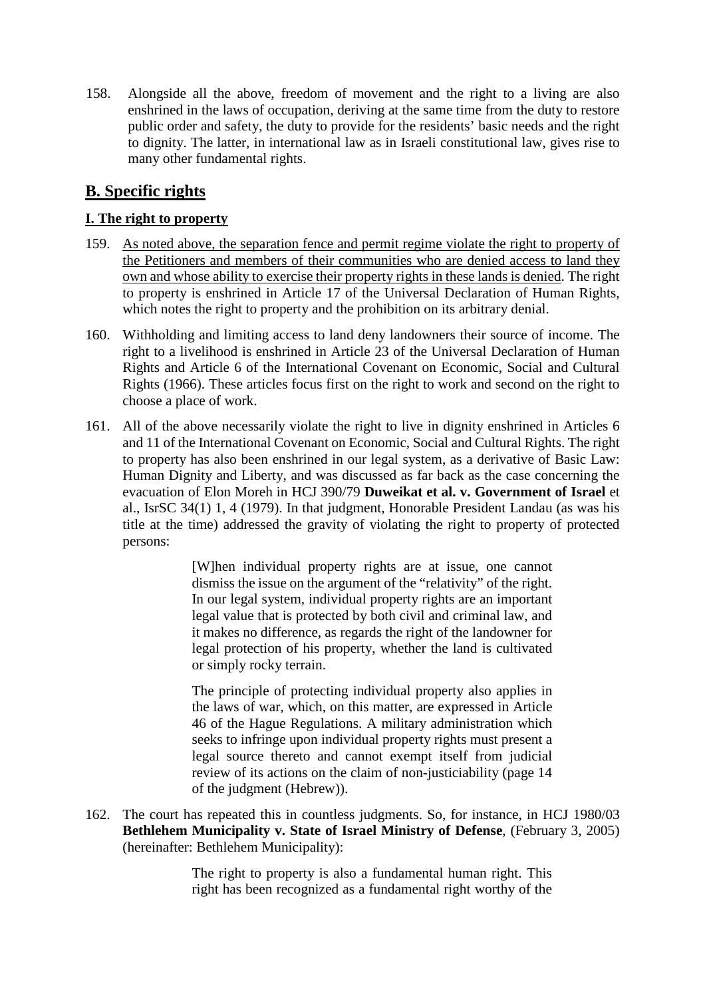158. Alongside all the above, freedom of movement and the right to a living are also enshrined in the laws of occupation, deriving at the same time from the duty to restore public order and safety, the duty to provide for the residents' basic needs and the right to dignity. The latter, in international law as in Israeli constitutional law, gives rise to many other fundamental rights.

## **B. Specific rights**

#### **I. The right to property**

- 159. As noted above, the separation fence and permit regime violate the right to property of the Petitioners and members of their communities who are denied access to land they own and whose ability to exercise their property rights in these lands is denied. The right to property is enshrined in Article 17 of the Universal Declaration of Human Rights, which notes the right to property and the prohibition on its arbitrary denial.
- 160. Withholding and limiting access to land deny landowners their source of income. The right to a livelihood is enshrined in Article 23 of the Universal Declaration of Human Rights and Article 6 of the International Covenant on Economic, Social and Cultural Rights (1966). These articles focus first on the right to work and second on the right to choose a place of work.
- 161. All of the above necessarily violate the right to live in dignity enshrined in Articles 6 and 11 of the International Covenant on Economic, Social and Cultural Rights. The right to property has also been enshrined in our legal system, as a derivative of Basic Law: Human Dignity and Liberty, and was discussed as far back as the case concerning the evacuation of Elon Moreh in HCJ 390/79 **Duweikat et al. v. Government of Israel** et al., IsrSC 34(1) 1, 4 (1979). In that judgment, Honorable President Landau (as was his title at the time) addressed the gravity of violating the right to property of protected persons:

[W]hen individual property rights are at issue, one cannot dismiss the issue on the argument of the "relativity" of the right. In our legal system, individual property rights are an important legal value that is protected by both civil and criminal law, and it makes no difference, as regards the right of the landowner for legal protection of his property, whether the land is cultivated or simply rocky terrain.

The principle of protecting individual property also applies in the laws of war, which, on this matter, are expressed in Article 46 of the Hague Regulations. A military administration which seeks to infringe upon individual property rights must present a legal source thereto and cannot exempt itself from judicial review of its actions on the claim of non-justiciability (page 14 of the judgment (Hebrew)).

162. The court has repeated this in countless judgments. So, for instance, in HCJ 1980/03 **Bethlehem Municipality v. State of Israel Ministry of Defense**, (February 3, 2005) (hereinafter: Bethlehem Municipality):

> The right to property is also a fundamental human right. This right has been recognized as a fundamental right worthy of the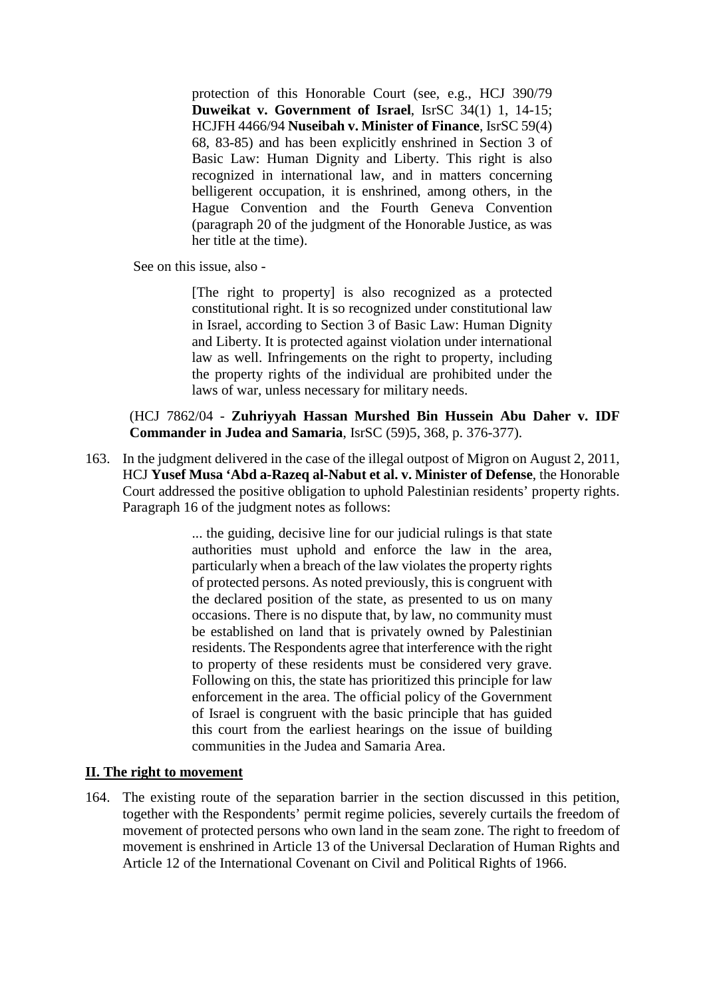protection of this Honorable Court (see, e.g., HCJ 390/79 **Duweikat v. Government of Israel**, IsrSC 34(1) 1, 14-15; HCJFH 4466/94 **Nuseibah v. Minister of Finance**, IsrSC 59(4) 68, 83-85) and has been explicitly enshrined in Section 3 of Basic Law: Human Dignity and Liberty. This right is also recognized in international law, and in matters concerning belligerent occupation, it is enshrined, among others, in the Hague Convention and the Fourth Geneva Convention (paragraph 20 of the judgment of the Honorable Justice, as was her title at the time).

See on this issue, also -

[The right to property] is also recognized as a protected constitutional right. It is so recognized under constitutional law in Israel, according to Section 3 of Basic Law: Human Dignity and Liberty. It is protected against violation under international law as well. Infringements on the right to property, including the property rights of the individual are prohibited under the laws of war, unless necessary for military needs.

(HCJ 7862/04 - **Zuhriyyah Hassan Murshed Bin Hussein Abu Daher v. IDF Commander in Judea and Samaria**, IsrSC (59)5, 368, p. 376-377).

163. In the judgment delivered in the case of the illegal outpost of Migron on August 2, 2011, HCJ **Yusef Musa 'Abd a-Razeq al-Nabut et al. v. Minister of Defense**, the Honorable Court addressed the positive obligation to uphold Palestinian residents' property rights. Paragraph 16 of the judgment notes as follows:

> ... the guiding, decisive line for our judicial rulings is that state authorities must uphold and enforce the law in the area, particularly when a breach of the law violates the property rights of protected persons. As noted previously, this is congruent with the declared position of the state, as presented to us on many occasions. There is no dispute that, by law, no community must be established on land that is privately owned by Palestinian residents. The Respondents agree that interference with the right to property of these residents must be considered very grave. Following on this, the state has prioritized this principle for law enforcement in the area. The official policy of the Government of Israel is congruent with the basic principle that has guided this court from the earliest hearings on the issue of building communities in the Judea and Samaria Area.

#### **II. The right to movement**

164. The existing route of the separation barrier in the section discussed in this petition, together with the Respondents' permit regime policies, severely curtails the freedom of movement of protected persons who own land in the seam zone. The right to freedom of movement is enshrined in Article 13 of the Universal Declaration of Human Rights and Article 12 of the International Covenant on Civil and Political Rights of 1966.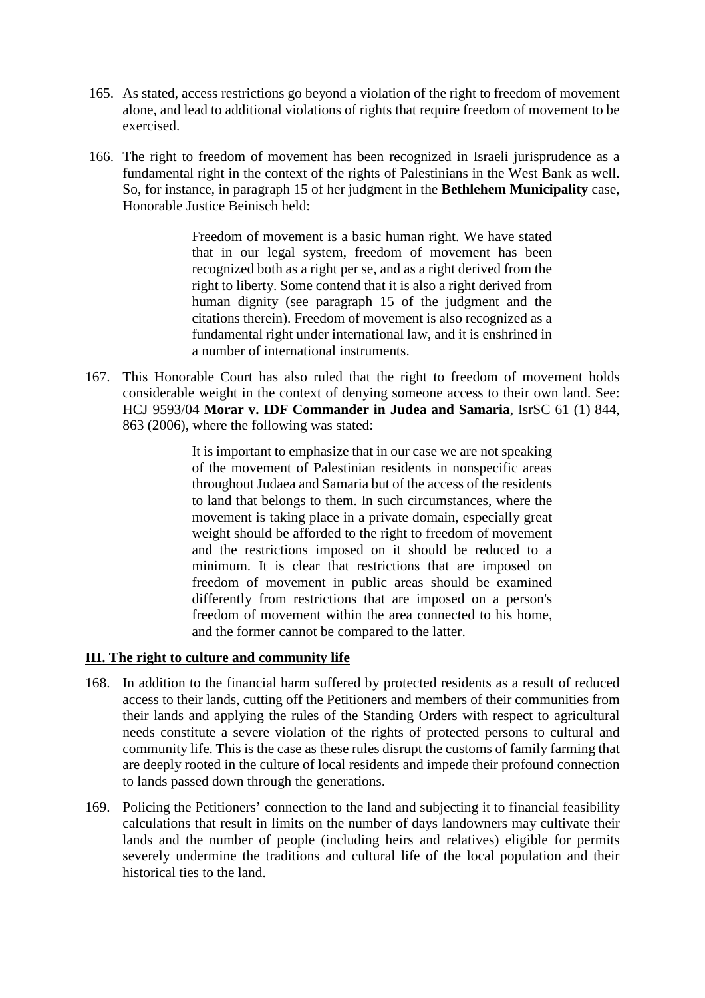- 165. As stated, access restrictions go beyond a violation of the right to freedom of movement alone, and lead to additional violations of rights that require freedom of movement to be exercised.
- 166. The right to freedom of movement has been recognized in Israeli jurisprudence as a fundamental right in the context of the rights of Palestinians in the West Bank as well. So, for instance, in paragraph 15 of her judgment in the **Bethlehem Municipality** case, Honorable Justice Beinisch held:

Freedom of movement is a basic human right. We have stated that in our legal system, freedom of movement has been recognized both as a right per se, and as a right derived from the right to liberty. Some contend that it is also a right derived from human dignity (see paragraph 15 of the judgment and the citations therein). Freedom of movement is also recognized as a fundamental right under international law, and it is enshrined in a number of international instruments.

167. This Honorable Court has also ruled that the right to freedom of movement holds considerable weight in the context of denying someone access to their own land. See: HCJ 9593/04 **Morar v. IDF Commander in Judea and Samaria**, IsrSC 61 (1) 844, 863 (2006), where the following was stated:

> It is important to emphasize that in our case we are not speaking of the movement of Palestinian residents in nonspecific areas throughout Judaea and Samaria but of the access of the residents to land that belongs to them. In such circumstances, where the movement is taking place in a private domain, especially great weight should be afforded to the right to freedom of movement and the restrictions imposed on it should be reduced to a minimum. It is clear that restrictions that are imposed on freedom of movement in public areas should be examined differently from restrictions that are imposed on a person's freedom of movement within the area connected to his home, and the former cannot be compared to the latter.

#### **III. The right to culture and community life**

- 168. In addition to the financial harm suffered by protected residents as a result of reduced access to their lands, cutting off the Petitioners and members of their communities from their lands and applying the rules of the Standing Orders with respect to agricultural needs constitute a severe violation of the rights of protected persons to cultural and community life. This is the case as these rules disrupt the customs of family farming that are deeply rooted in the culture of local residents and impede their profound connection to lands passed down through the generations.
- 169. Policing the Petitioners' connection to the land and subjecting it to financial feasibility calculations that result in limits on the number of days landowners may cultivate their lands and the number of people (including heirs and relatives) eligible for permits severely undermine the traditions and cultural life of the local population and their historical ties to the land.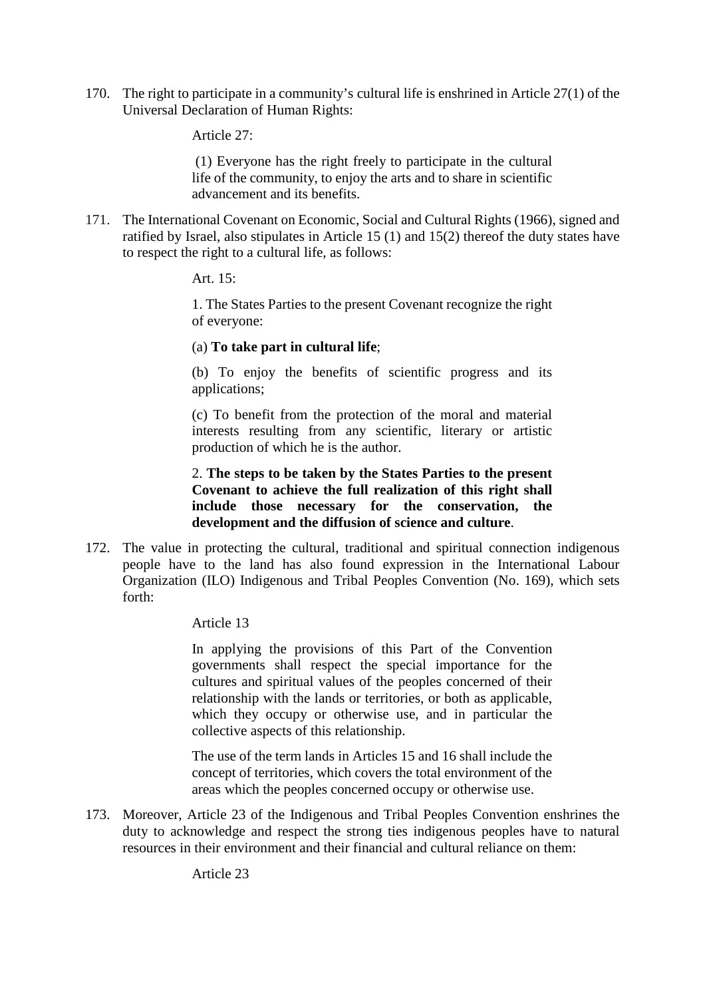170. The right to participate in a community's cultural life is enshrined in Article 27(1) of the Universal Declaration of Human Rights:

Article 27:

(1) Everyone has the right freely to participate in the cultural life of the community, to enjoy the arts and to share in scientific advancement and its benefits.

171. The International Covenant on Economic, Social and Cultural Rights (1966), signed and ratified by Israel, also stipulates in Article 15 (1) and 15(2) thereof the duty states have to respect the right to a cultural life, as follows:

Art. 15:

1. The States Parties to the present Covenant recognize the right of everyone:

#### (a) **To take part in cultural life**;

(b) To enjoy the benefits of scientific progress and its applications;

(c) To benefit from the protection of the moral and material interests resulting from any scientific, literary or artistic production of which he is the author.

2. **The steps to be taken by the States Parties to the present Covenant to achieve the full realization of this right shall include those necessary for the conservation, the development and the diffusion of science and culture**.

172. The value in protecting the cultural, traditional and spiritual connection indigenous people have to the land has also found expression in the International Labour Organization (ILO) Indigenous and Tribal Peoples Convention (No. 169), which sets forth:

Article 13

In applying the provisions of this Part of the Convention governments shall respect the special importance for the cultures and spiritual values of the peoples concerned of their relationship with the lands or territories, or both as applicable, which they occupy or otherwise use, and in particular the collective aspects of this relationship.

The use of the term lands in Articles 15 and 16 shall include the concept of territories, which covers the total environment of the areas which the peoples concerned occupy or otherwise use.

173. Moreover, Article 23 of the Indigenous and Tribal Peoples Convention enshrines the duty to acknowledge and respect the strong ties indigenous peoples have to natural resources in their environment and their financial and cultural reliance on them:

Article 23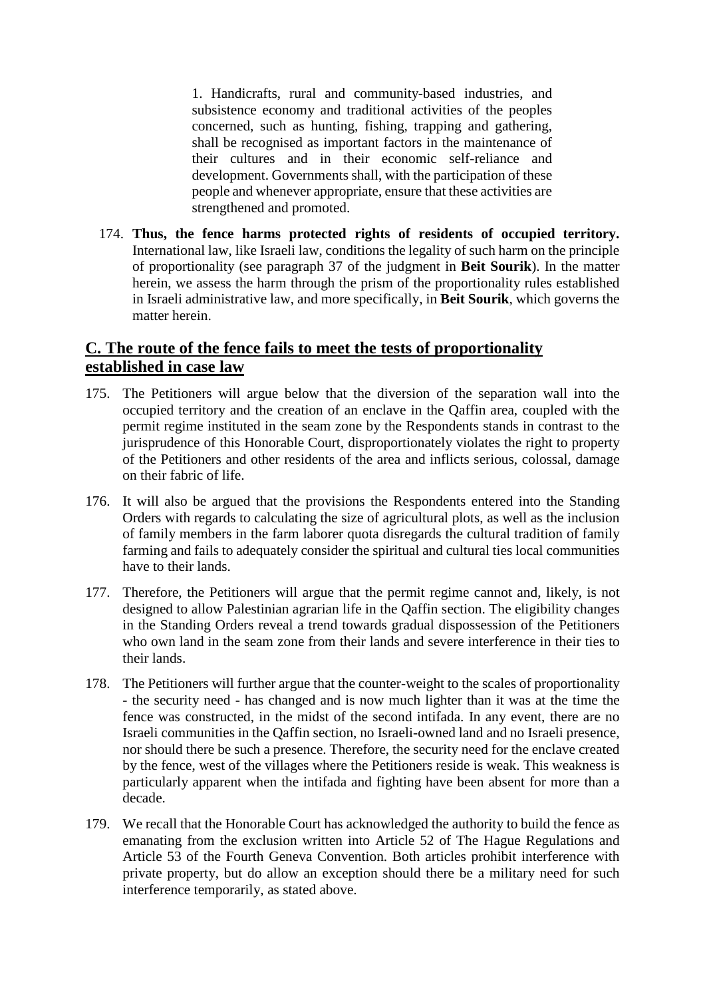1. Handicrafts, rural and community-based industries, and subsistence economy and traditional activities of the peoples concerned, such as hunting, fishing, trapping and gathering, shall be recognised as important factors in the maintenance of their cultures and in their economic self-reliance and development. Governments shall, with the participation of these people and whenever appropriate, ensure that these activities are strengthened and promoted.

174. **Thus, the fence harms protected rights of residents of occupied territory.** International law, like Israeli law, conditions the legality of such harm on the principle of proportionality (see paragraph 37 of the judgment in **Beit Sourik**). In the matter herein, we assess the harm through the prism of the proportionality rules established in Israeli administrative law, and more specifically, in **Beit Sourik**, which governs the matter herein.

### **C. The route of the fence fails to meet the tests of proportionality established in case law**

- 175. The Petitioners will argue below that the diversion of the separation wall into the occupied territory and the creation of an enclave in the Qaffin area, coupled with the permit regime instituted in the seam zone by the Respondents stands in contrast to the jurisprudence of this Honorable Court, disproportionately violates the right to property of the Petitioners and other residents of the area and inflicts serious, colossal, damage on their fabric of life.
- 176. It will also be argued that the provisions the Respondents entered into the Standing Orders with regards to calculating the size of agricultural plots, as well as the inclusion of family members in the farm laborer quota disregards the cultural tradition of family farming and fails to adequately consider the spiritual and cultural ties local communities have to their lands.
- 177. Therefore, the Petitioners will argue that the permit regime cannot and, likely, is not designed to allow Palestinian agrarian life in the Qaffin section. The eligibility changes in the Standing Orders reveal a trend towards gradual dispossession of the Petitioners who own land in the seam zone from their lands and severe interference in their ties to their lands.
- 178. The Petitioners will further argue that the counter-weight to the scales of proportionality - the security need - has changed and is now much lighter than it was at the time the fence was constructed, in the midst of the second intifada. In any event, there are no Israeli communities in the Qaffin section, no Israeli-owned land and no Israeli presence, nor should there be such a presence. Therefore, the security need for the enclave created by the fence, west of the villages where the Petitioners reside is weak. This weakness is particularly apparent when the intifada and fighting have been absent for more than a decade.
- 179. We recall that the Honorable Court has acknowledged the authority to build the fence as emanating from the exclusion written into Article 52 of The Hague Regulations and Article 53 of the Fourth Geneva Convention. Both articles prohibit interference with private property, but do allow an exception should there be a military need for such interference temporarily, as stated above.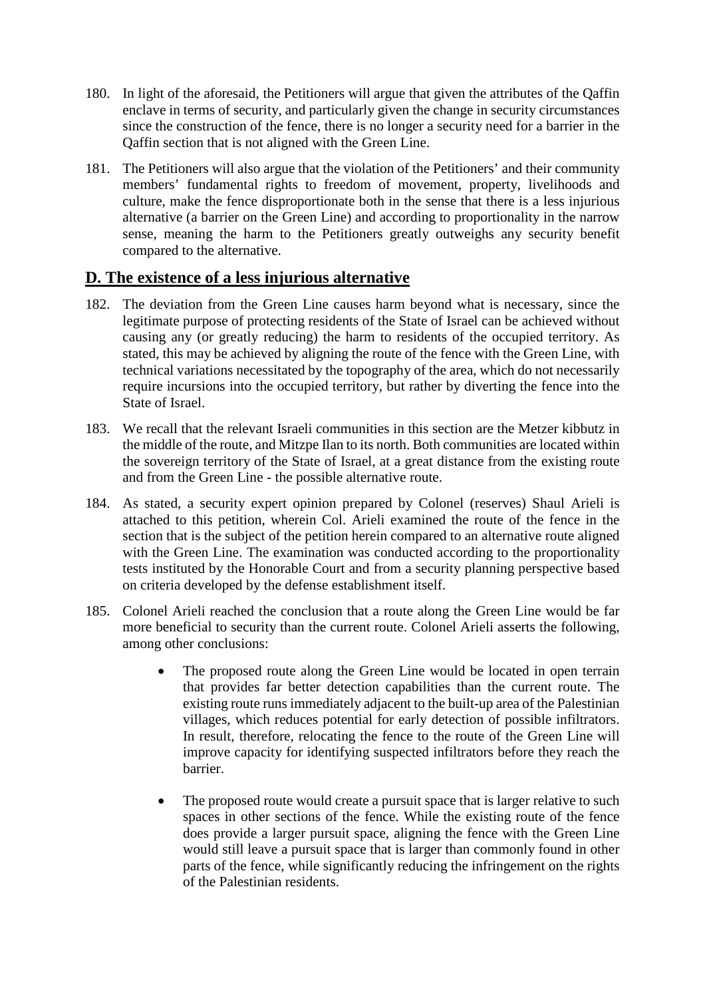- 180. In light of the aforesaid, the Petitioners will argue that given the attributes of the Qaffin enclave in terms of security, and particularly given the change in security circumstances since the construction of the fence, there is no longer a security need for a barrier in the Qaffin section that is not aligned with the Green Line.
- 181. The Petitioners will also argue that the violation of the Petitioners' and their community members' fundamental rights to freedom of movement, property, livelihoods and culture, make the fence disproportionate both in the sense that there is a less injurious alternative (a barrier on the Green Line) and according to proportionality in the narrow sense, meaning the harm to the Petitioners greatly outweighs any security benefit compared to the alternative.

### **D. The existence of a less injurious alternative**

- 182. The deviation from the Green Line causes harm beyond what is necessary, since the legitimate purpose of protecting residents of the State of Israel can be achieved without causing any (or greatly reducing) the harm to residents of the occupied territory. As stated, this may be achieved by aligning the route of the fence with the Green Line, with technical variations necessitated by the topography of the area, which do not necessarily require incursions into the occupied territory, but rather by diverting the fence into the State of Israel.
- 183. We recall that the relevant Israeli communities in this section are the Metzer kibbutz in the middle of the route, and Mitzpe Ilan to its north. Both communities are located within the sovereign territory of the State of Israel, at a great distance from the existing route and from the Green Line - the possible alternative route.
- 184. As stated, a security expert opinion prepared by Colonel (reserves) Shaul Arieli is attached to this petition, wherein Col. Arieli examined the route of the fence in the section that is the subject of the petition herein compared to an alternative route aligned with the Green Line. The examination was conducted according to the proportionality tests instituted by the Honorable Court and from a security planning perspective based on criteria developed by the defense establishment itself.
- 185. Colonel Arieli reached the conclusion that a route along the Green Line would be far more beneficial to security than the current route. Colonel Arieli asserts the following, among other conclusions:
	- The proposed route along the Green Line would be located in open terrain that provides far better detection capabilities than the current route. The existing route runs immediately adjacent to the built-up area of the Palestinian villages, which reduces potential for early detection of possible infiltrators. In result, therefore, relocating the fence to the route of the Green Line will improve capacity for identifying suspected infiltrators before they reach the barrier.
	- The proposed route would create a pursuit space that is larger relative to such spaces in other sections of the fence. While the existing route of the fence does provide a larger pursuit space, aligning the fence with the Green Line would still leave a pursuit space that is larger than commonly found in other parts of the fence, while significantly reducing the infringement on the rights of the Palestinian residents.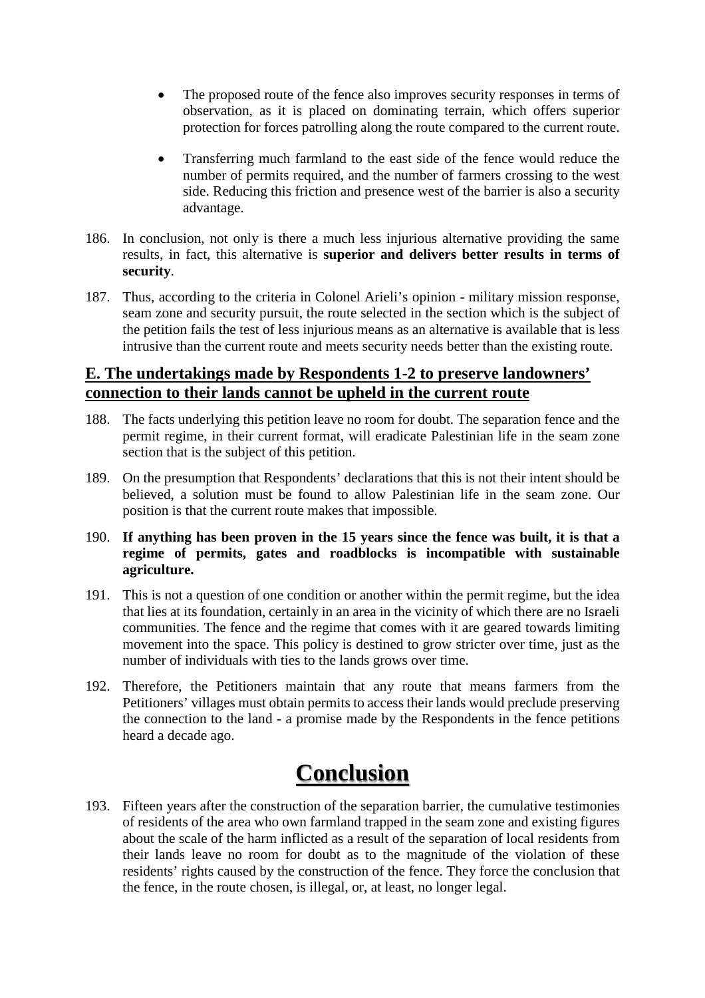- The proposed route of the fence also improves security responses in terms of observation, as it is placed on dominating terrain, which offers superior protection for forces patrolling along the route compared to the current route.
- Transferring much farmland to the east side of the fence would reduce the number of permits required, and the number of farmers crossing to the west side. Reducing this friction and presence west of the barrier is also a security advantage.
- 186. In conclusion, not only is there a much less injurious alternative providing the same results, in fact, this alternative is **superior and delivers better results in terms of security**.
- 187. Thus, according to the criteria in Colonel Arieli's opinion military mission response, seam zone and security pursuit, the route selected in the section which is the subject of the petition fails the test of less injurious means as an alternative is available that is less intrusive than the current route and meets security needs better than the existing route.

## **E. The undertakings made by Respondents 1-2 to preserve landowners' connection to their lands cannot be upheld in the current route**

- 188. The facts underlying this petition leave no room for doubt. The separation fence and the permit regime, in their current format, will eradicate Palestinian life in the seam zone section that is the subject of this petition.
- 189. On the presumption that Respondents' declarations that this is not their intent should be believed, a solution must be found to allow Palestinian life in the seam zone. Our position is that the current route makes that impossible.

#### 190. **If anything has been proven in the 15 years since the fence was built, it is that a regime of permits, gates and roadblocks is incompatible with sustainable agriculture.**

- 191. This is not a question of one condition or another within the permit regime, but the idea that lies at its foundation, certainly in an area in the vicinity of which there are no Israeli communities. The fence and the regime that comes with it are geared towards limiting movement into the space. This policy is destined to grow stricter over time, just as the number of individuals with ties to the lands grows over time.
- 192. Therefore, the Petitioners maintain that any route that means farmers from the Petitioners' villages must obtain permits to access their lands would preclude preserving the connection to the land - a promise made by the Respondents in the fence petitions heard a decade ago.

# **Conclusion**

193. Fifteen years after the construction of the separation barrier, the cumulative testimonies of residents of the area who own farmland trapped in the seam zone and existing figures about the scale of the harm inflicted as a result of the separation of local residents from their lands leave no room for doubt as to the magnitude of the violation of these residents' rights caused by the construction of the fence. They force the conclusion that the fence, in the route chosen, is illegal, or, at least, no longer legal.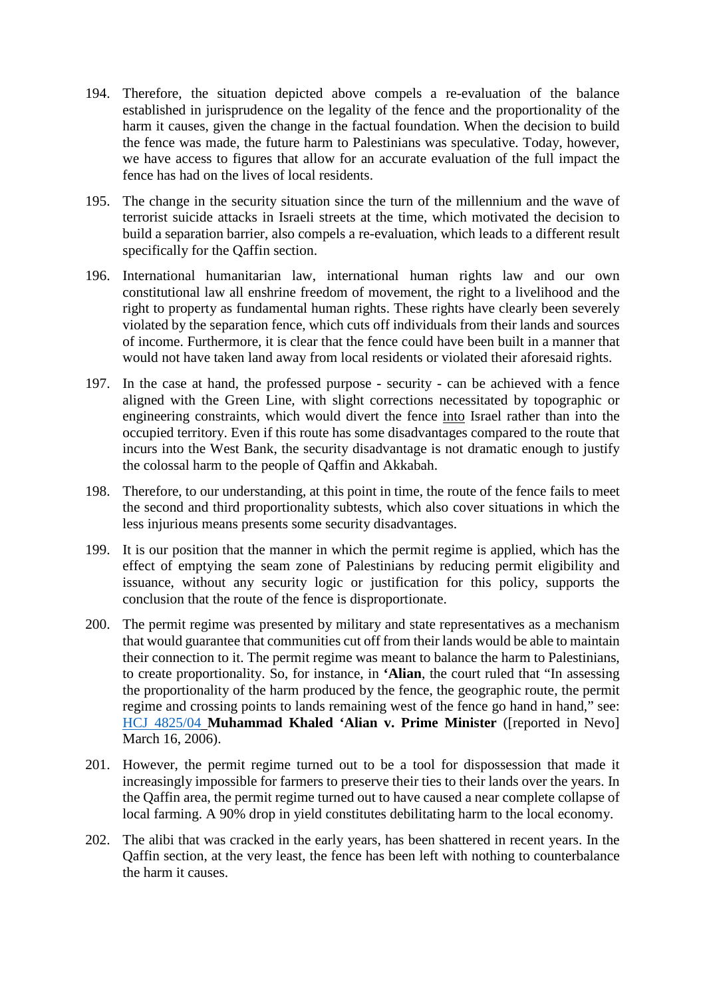- 194. Therefore, the situation depicted above compels a re-evaluation of the balance established in jurisprudence on the legality of the fence and the proportionality of the harm it causes, given the change in the factual foundation. When the decision to build the fence was made, the future harm to Palestinians was speculative. Today, however, we have access to figures that allow for an accurate evaluation of the full impact the fence has had on the lives of local residents.
- 195. The change in the security situation since the turn of the millennium and the wave of terrorist suicide attacks in Israeli streets at the time, which motivated the decision to build a separation barrier, also compels a re-evaluation, which leads to a different result specifically for the Qaffin section.
- 196. International humanitarian law, international human rights law and our own constitutional law all enshrine freedom of movement, the right to a livelihood and the right to property as fundamental human rights. These rights have clearly been severely violated by the separation fence, which cuts off individuals from their lands and sources of income. Furthermore, it is clear that the fence could have been built in a manner that would not have taken land away from local residents or violated their aforesaid rights.
- 197. In the case at hand, the professed purpose security can be achieved with a fence aligned with the Green Line, with slight corrections necessitated by topographic or engineering constraints, which would divert the fence into Israel rather than into the occupied territory. Even if this route has some disadvantages compared to the route that incurs into the West Bank, the security disadvantage is not dramatic enough to justify the colossal harm to the people of Qaffin and Akkabah.
- 198. Therefore, to our understanding, at this point in time, the route of the fence fails to meet the second and third proportionality subtests, which also cover situations in which the less injurious means presents some security disadvantages.
- 199. It is our position that the manner in which the permit regime is applied, which has the effect of emptying the seam zone of Palestinians by reducing permit eligibility and issuance, without any security logic or justification for this policy, supports the conclusion that the route of the fence is disproportionate.
- 200. The permit regime was presented by military and state representatives as a mechanism that would guarantee that communities cut off from their lands would be able to maintain their connection to it. The permit regime was meant to balance the harm to Palestinians, to create proportionality. So, for instance, in **'Alian**, the court ruled that "In assessing the proportionality of the harm produced by the fence, the geographic route, the permit regime and crossing points to lands remaining west of the fence go hand in hand," see: [HCJ 4825/04](http://www.nevo.co.il/case/5912365) **Muhammad Khaled 'Alian v. Prime Minister** ([reported in Nevo] March 16, 2006).
- 201. However, the permit regime turned out to be a tool for dispossession that made it increasingly impossible for farmers to preserve their ties to their lands over the years. In the Qaffin area, the permit regime turned out to have caused a near complete collapse of local farming. A 90% drop in yield constitutes debilitating harm to the local economy.
- 202. The alibi that was cracked in the early years, has been shattered in recent years. In the Qaffin section, at the very least, the fence has been left with nothing to counterbalance the harm it causes.